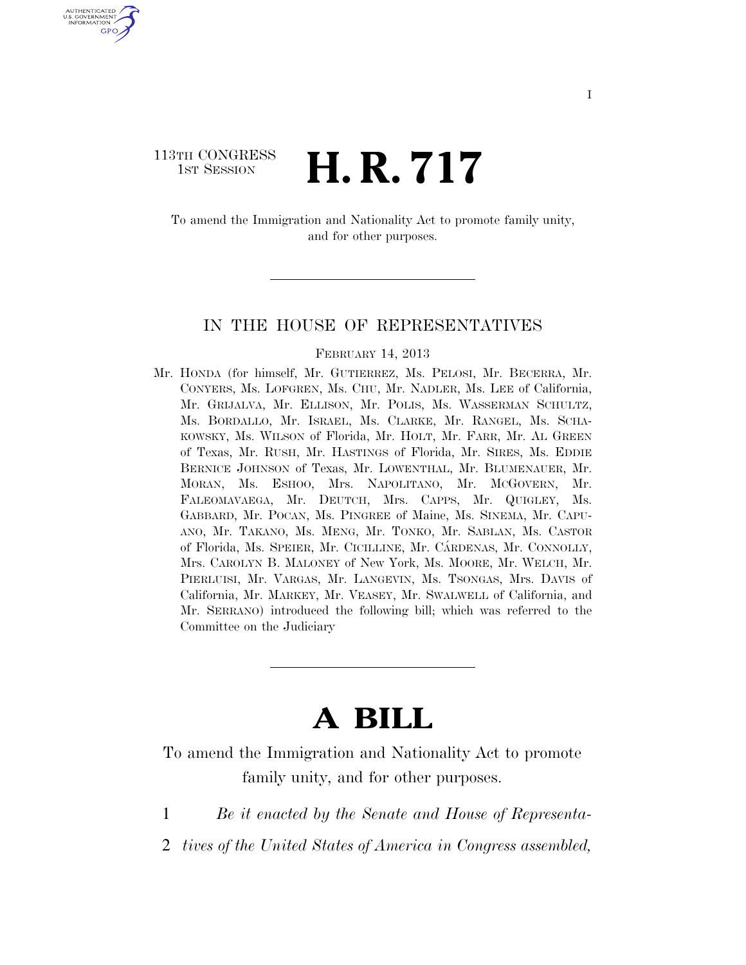# 113TH CONGRESS  $\frac{1}{1}$ ST SESSION **H. R. 717**

U.S. GOVERNMENT GPO

> To amend the Immigration and Nationality Act to promote family unity, and for other purposes.

#### IN THE HOUSE OF REPRESENTATIVES

#### FEBRUARY 14, 2013

Mr. HONDA (for himself, Mr. GUTIERREZ, Ms. PELOSI, Mr. BECERRA, Mr. CONYERS, Ms. LOFGREN, Ms. CHU, Mr. NADLER, Ms. LEE of California, Mr. GRIJALVA, Mr. ELLISON, Mr. POLIS, Ms. WASSERMAN SCHULTZ, Ms. BORDALLO, Mr. ISRAEL, Ms. CLARKE, Mr. RANGEL, Ms. SCHA-KOWSKY, Ms. WILSON of Florida, Mr. HOLT, Mr. FARR, Mr. AL GREEN of Texas, Mr. RUSH, Mr. HASTINGS of Florida, Mr. SIRES, Ms. EDDIE BERNICE JOHNSON of Texas, Mr. LOWENTHAL, Mr. BLUMENAUER, Mr. MORAN, Ms. ESHOO, Mrs. NAPOLITANO, Mr. MCGOVERN, Mr. FALEOMAVAEGA, Mr. DEUTCH, Mrs. CAPPS, Mr. QUIGLEY, Ms. GABBARD, Mr. POCAN, Ms. PINGREE of Maine, Ms. SINEMA, Mr. CAPU-ANO, Mr. TAKANO, Ms. MENG, Mr. TONKO, Mr. SABLAN, Ms. CASTOR of Florida, Ms. SPEIER, Mr. CICILLINE, Mr. CÁRDENAS, Mr. CONNOLLY, Mrs. CAROLYN B. MALONEY of New York, Ms. MOORE, Mr. WELCH, Mr. PIERLUISI, Mr. VARGAS, Mr. LANGEVIN, Ms. TSONGAS, Mrs. DAVIS of California, Mr. MARKEY, Mr. VEASEY, Mr. SWALWELL of California, and Mr. SERRANO) introduced the following bill; which was referred to the Committee on the Judiciary

# **A BILL**

To amend the Immigration and Nationality Act to promote family unity, and for other purposes.

- 1 *Be it enacted by the Senate and House of Representa-*
- 2 *tives of the United States of America in Congress assembled,*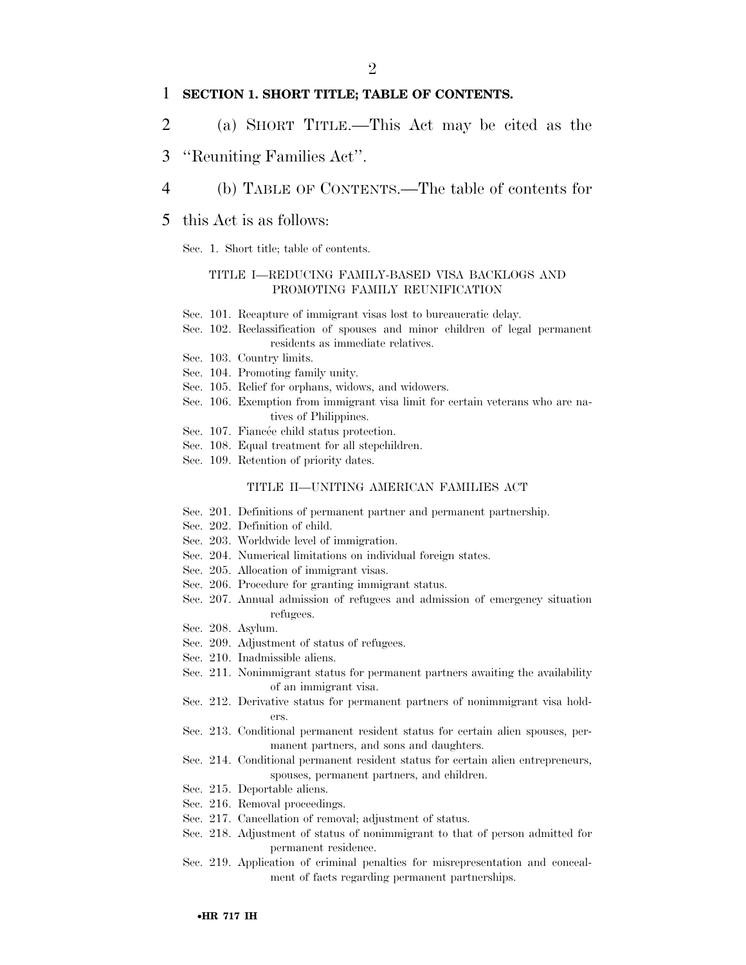#### 1 **SECTION 1. SHORT TITLE; TABLE OF CONTENTS.**

- 2 (a) SHORT TITLE.—This Act may be cited as the
- 3 ''Reuniting Families Act''.
- 4 (b) TABLE OF CONTENTS.—The table of contents for
- 5 this Act is as follows:
	- Sec. 1. Short title; table of contents.

#### TITLE I—REDUCING FAMILY-BASED VISA BACKLOGS AND PROMOTING FAMILY REUNIFICATION

- Sec. 101. Recapture of immigrant visas lost to bureaucratic delay.
- Sec. 102. Reclassification of spouses and minor children of legal permanent residents as immediate relatives.
- Sec. 103. Country limits.
- Sec. 104. Promoting family unity.
- Sec. 105. Relief for orphans, widows, and widowers.
- Sec. 106. Exemption from immigrant visa limit for certain veterans who are natives of Philippines.
- Sec. 107. Fiancée child status protection.
- Sec. 108. Equal treatment for all stepchildren.
- Sec. 109. Retention of priority dates.

#### TITLE II—UNITING AMERICAN FAMILIES ACT

- Sec. 201. Definitions of permanent partner and permanent partnership.
- Sec. 202. Definition of child.
- Sec. 203. Worldwide level of immigration.
- Sec. 204. Numerical limitations on individual foreign states.
- Sec. 205. Allocation of immigrant visas.
- Sec. 206. Procedure for granting immigrant status.
- Sec. 207. Annual admission of refugees and admission of emergency situation refugees.
- Sec. 208. Asylum.
- Sec. 209. Adjustment of status of refugees.
- Sec. 210. Inadmissible aliens.
- Sec. 211. Nonimmigrant status for permanent partners awaiting the availability of an immigrant visa.
- Sec. 212. Derivative status for permanent partners of nonimmigrant visa holders.
- Sec. 213. Conditional permanent resident status for certain alien spouses, permanent partners, and sons and daughters.
- Sec. 214. Conditional permanent resident status for certain alien entrepreneurs, spouses, permanent partners, and children.
- Sec. 215. Deportable aliens.
- Sec. 216. Removal proceedings.
- Sec. 217. Cancellation of removal; adjustment of status.
- Sec. 218. Adjustment of status of nonimmigrant to that of person admitted for permanent residence.
- Sec. 219. Application of criminal penalties for misrepresentation and concealment of facts regarding permanent partnerships.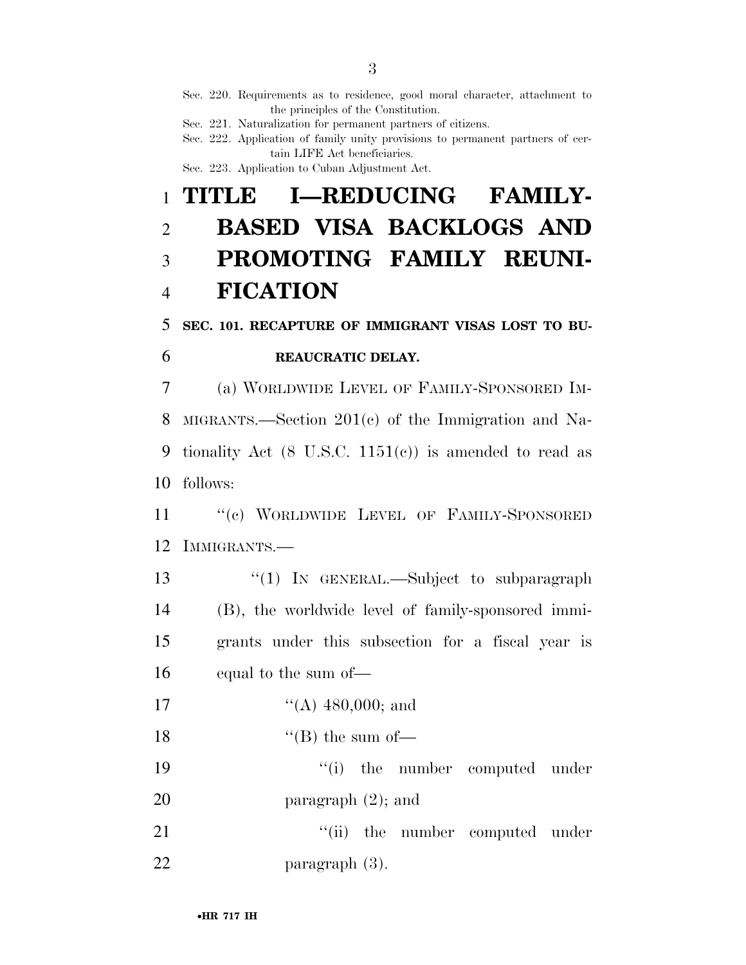Sec. 220. Requirements as to residence, good moral character, attachment to the principles of the Constitution.

Sec. 221. Naturalization for permanent partners of citizens.

Sec. 222. Application of family unity provisions to permanent partners of certain LIFE Act beneficiaries. Sec. 223. Application to Cuban Adjustment Act.

 **TITLE I—REDUCING FAMILY- BASED VISA BACKLOGS AND PROMOTING FAMILY REUNI-FICATION** 

5 **SEC. 101. RECAPTURE OF IMMIGRANT VISAS LOST TO BU-**

# 6 **REAUCRATIC DELAY.**

 (a) WORLDWIDE LEVEL OF FAMILY-SPONSORED IM- MIGRANTS.—Section 201(c) of the Immigration and Na- tionality Act (8 U.S.C. 1151(c)) is amended to read as follows:

11 "(c) WORLDWIDE LEVEL OF FAMILY-SPONSORED 12 IMMIGRANTS.—

13 "(1) In GENERAL.—Subject to subparagraph (B), the worldwide level of family-sponsored immi- grants under this subsection for a fiscal year is equal to the sum of—

17  $((A) 480,000;$  and

18  $"$ (B) the sum of

19  $\cdot$  (i) the number computed under 20 paragraph  $(2)$ ; and

21 ''(ii) the number computed under 22 paragraph (3).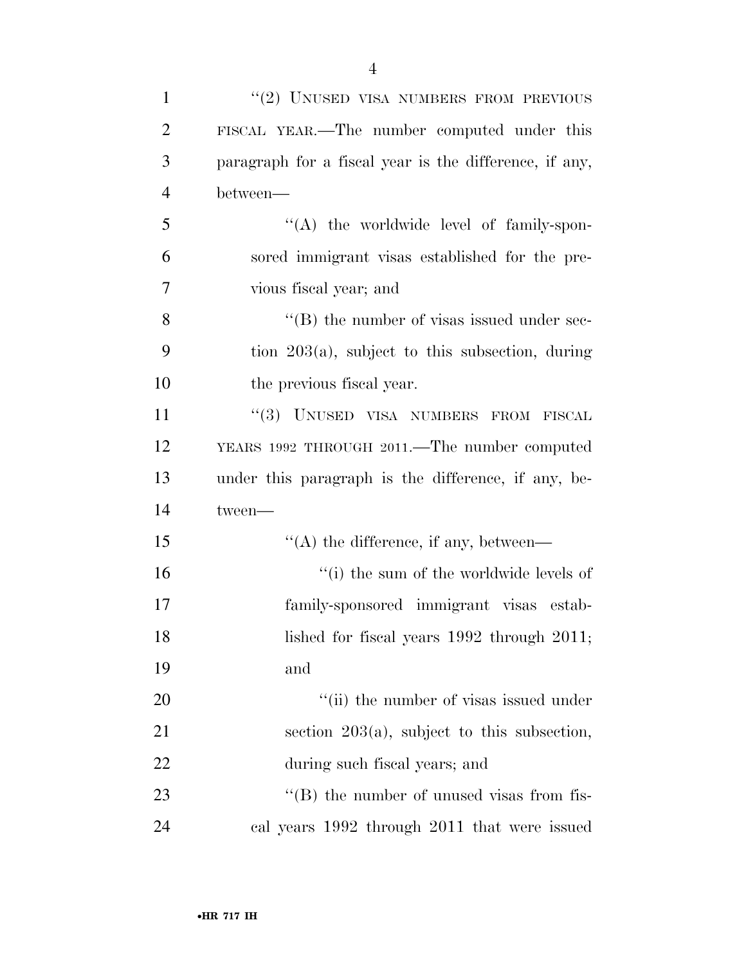| $\mathbf{1}$   | "(2) UNUSED VISA NUMBERS FROM PREVIOUS                 |
|----------------|--------------------------------------------------------|
| $\overline{2}$ | FISCAL YEAR.—The number computed under this            |
| 3              | paragraph for a fiscal year is the difference, if any, |
| $\overline{4}$ | between—                                               |
| 5              | $\lq\lq$ the worldwide level of family-spon-           |
| 6              | sored immigrant visas established for the pre-         |
| 7              | vious fiscal year; and                                 |
| 8              | $\lq\lq$ the number of visas issued under sec-         |
| 9              | tion $203(a)$ , subject to this subsection, during     |
| 10             | the previous fiscal year.                              |
| 11             | "(3) UNUSED VISA NUMBERS FROM FISCAL                   |
| 12             | YEARS 1992 THROUGH 2011.—The number computed           |
| 13             | under this paragraph is the difference, if any, be-    |
| 14             | tween-                                                 |
| 15             | $\lq\lq$ the difference, if any, between—              |
| 16             | "(i) the sum of the worldwide levels of                |
| 17             | family-sponsored immigrant visas estab-                |
| 18             | lished for fiscal years 1992 through 2011;             |
| 19             | and                                                    |
| <b>20</b>      | "(ii) the number of visas issued under                 |
| 21             | section $203(a)$ , subject to this subsection,         |
| 22             | during such fiscal years; and                          |
| 23             | $\lq\lq$ the number of unused visas from fis-          |
| 24             | cal years 1992 through 2011 that were issued           |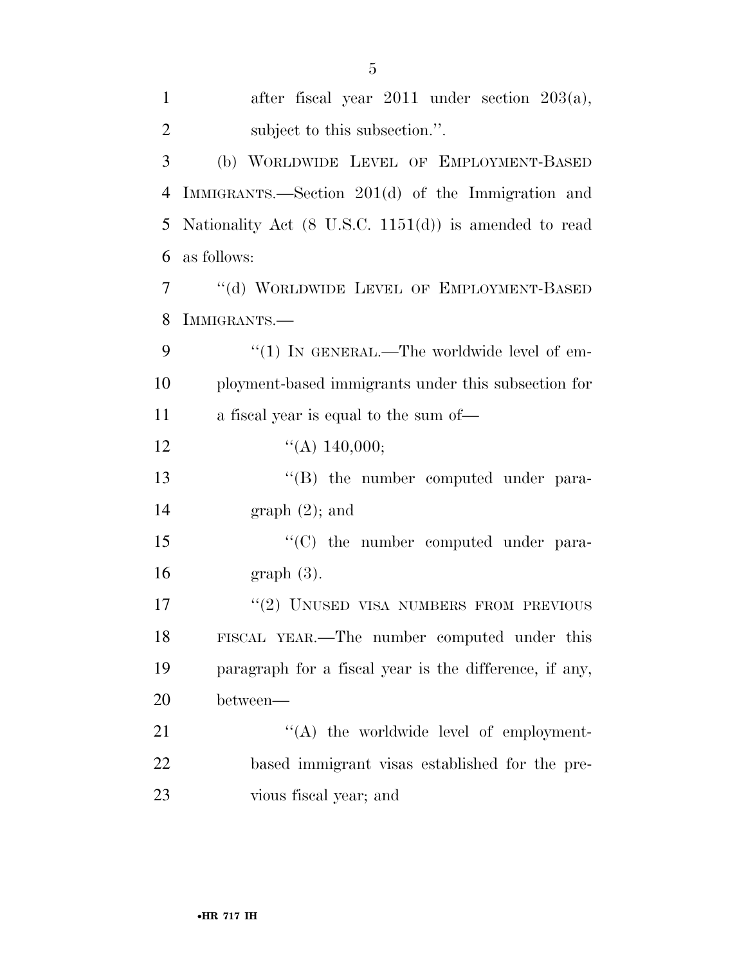| $\mathbf{1}$   | after fiscal year $2011$ under section $203(a)$ ,                |
|----------------|------------------------------------------------------------------|
| $\overline{2}$ | subject to this subsection.".                                    |
| 3              | (b) WORLDWIDE LEVEL OF EMPLOYMENT-BASED                          |
| 4              | IMMIGRANTS.—Section 201(d) of the Immigration and                |
| 5              | Nationality Act $(8 \text{ U.S.C. } 1151(d))$ is amended to read |
| 6              | as follows:                                                      |
| $\overline{7}$ | "(d) WORLDWIDE LEVEL OF EMPLOYMENT-BASED                         |
| 8              | IMMIGRANTS.-                                                     |
| 9              | " $(1)$ IN GENERAL.—The worldwide level of em-                   |
| 10             | ployment-based immigrants under this subsection for              |
| 11             | a fiscal year is equal to the sum of—                            |
| 12             | ``(A) 140,000;                                                   |
| 13             | $\lq\lq (B)$ the number computed under para-                     |
| 14             | $graph(2)$ ; and                                                 |
| 15             | $\lq\lq$ (C) the number computed under para-                     |
| 16             | $graph(3)$ .                                                     |
| 17             | "(2) UNUSED VISA NUMBERS FROM PREVIOUS                           |
| 18             | FISCAL YEAR.—The number computed under this                      |
| 19             | paragraph for a fiscal year is the difference, if any,           |
| 20             | between—                                                         |
| 21             | $\lq\lq$ the worldwide level of employment-                      |
| 22             | based immigrant visas established for the pre-                   |
| 23             | vious fiscal year; and                                           |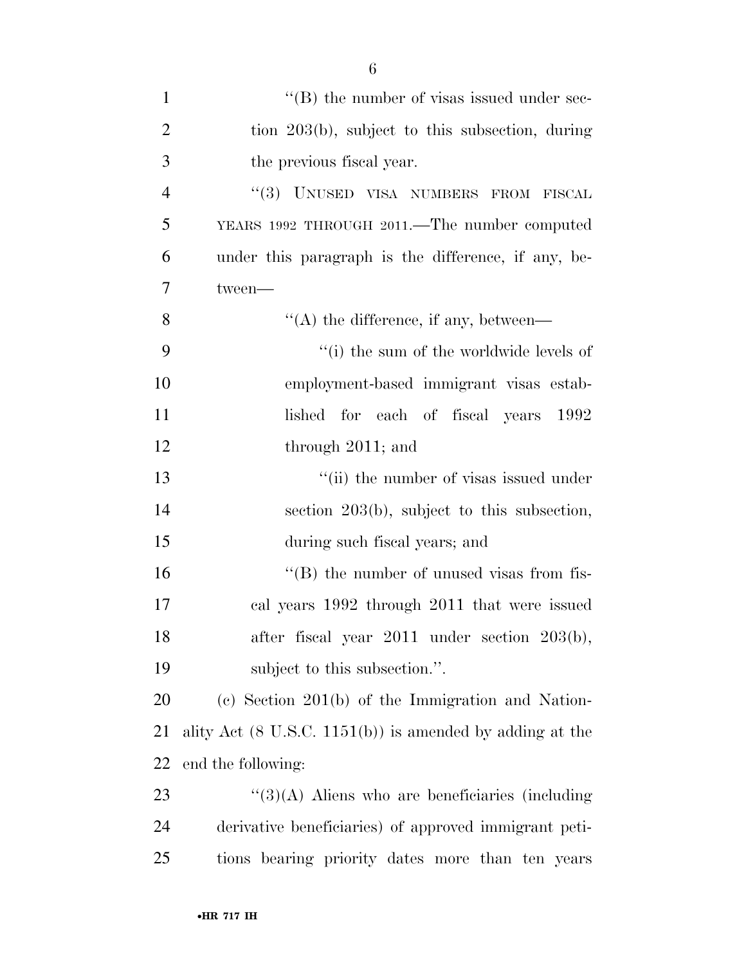| $\mathbf{1}$   | $\lq\lq$ (B) the number of visas issued under sec-                  |
|----------------|---------------------------------------------------------------------|
| $\overline{2}$ | tion $203(b)$ , subject to this subsection, during                  |
| 3              | the previous fiscal year.                                           |
| $\overline{4}$ | "(3) UNUSED VISA NUMBERS FROM FISCAL                                |
| 5              | YEARS 1992 THROUGH 2011.—The number computed                        |
| 6              | under this paragraph is the difference, if any, be-                 |
| 7              | tween-                                                              |
| 8              | $\lq\lq$ the difference, if any, between—                           |
| 9              | "(i) the sum of the worldwide levels of                             |
| 10             | employment-based immigrant visas estab-                             |
| 11             | lished for each of fiscal years 1992                                |
| 12             | through 2011; and                                                   |
| 13             | "(ii) the number of visas issued under                              |
| 14             | section $203(b)$ , subject to this subsection,                      |
| 15             | during such fiscal years; and                                       |
| 16             | $\lq\lq$ the number of unused visas from fis-                       |
| 17             | cal years 1992 through 2011 that were issued                        |
| 18             | after fiscal year 2011 under section 203(b),                        |
| 19             | subject to this subsection.".                                       |
| 20             | (c) Section $201(b)$ of the Immigration and Nation-                 |
| 21             | ality Act $(8 \text{ U.S.C. } 1151(b))$ is amended by adding at the |
| 22             | end the following:                                                  |
| 23             | $\lq(3)(A)$ Aliens who are beneficiaries (including                 |
| 24             | derivative beneficiaries) of approved immigrant peti-               |
| 25             | tions bearing priority dates more than ten years                    |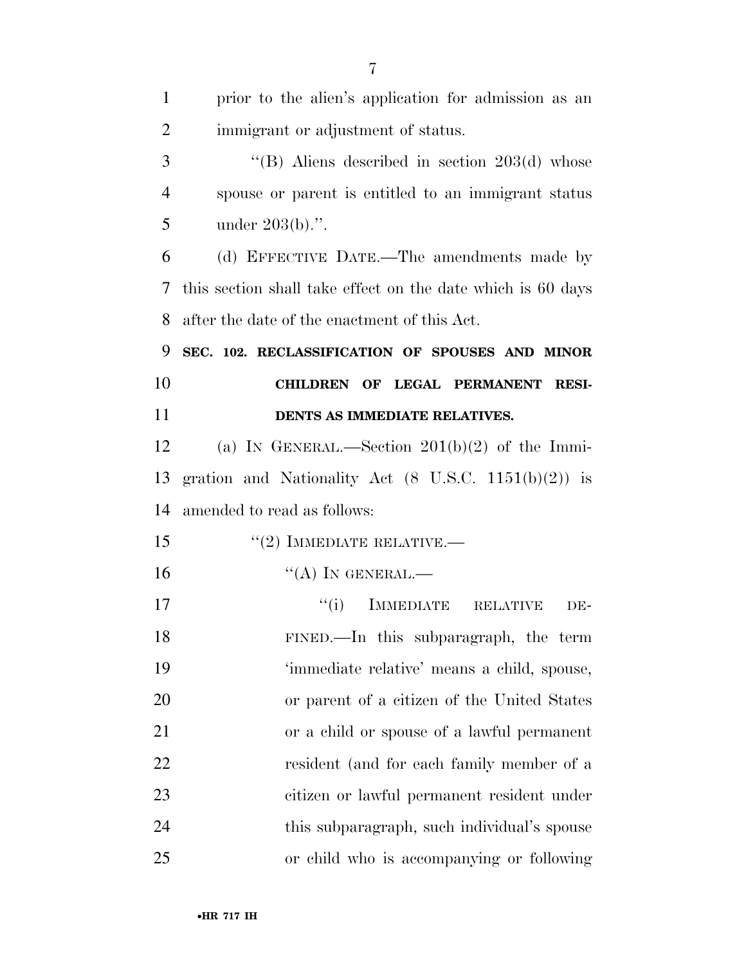| $\mathbf{1}$   | prior to the alien's application for admission as an            |
|----------------|-----------------------------------------------------------------|
| $\overline{2}$ | immigrant or adjustment of status.                              |
| 3              | "(B) Aliens described in section $203(d)$ whose                 |
| $\overline{4}$ | spouse or parent is entitled to an immigrant status             |
| 5              | under $203(b)$ .".                                              |
| 6              | (d) EFFECTIVE DATE.—The amendments made by                      |
| 7              | this section shall take effect on the date which is 60 days     |
| 8              | after the date of the enactment of this Act.                    |
| 9              | SEC. 102. RECLASSIFICATION OF SPOUSES AND MINOR                 |
| 10             | CHILDREN OF LEGAL PERMANENT<br><b>RESI-</b>                     |
| 11             | DENTS AS IMMEDIATE RELATIVES.                                   |
| 12             | (a) IN GENERAL.—Section $201(b)(2)$ of the Immi-                |
| 13             | gration and Nationality Act $(8 \text{ U.S.C. } 1151(b)(2))$ is |
| 14             | amended to read as follows:                                     |
| 15             | $"(2)$ IMMEDIATE RELATIVE.—                                     |
| 16             | $\lq\lq (A)$ In GENERAL.—                                       |
| 17             | <b>IMMEDIATE</b><br>``(i)<br><b>RELATIVE</b><br>DE-             |
| 18             | FINED.—In this subparagraph, the term                           |
| 19             | 'immediate relative' means a child, spouse,                     |
| 20             | or parent of a citizen of the United States                     |
| 21             | or a child or spouse of a lawful permanent                      |
| 22             | resident (and for each family member of a                       |
| 23             | citizen or lawful permanent resident under                      |
| 24             | this subparagraph, such individual's spouse                     |
| 25             | or child who is accompanying or following                       |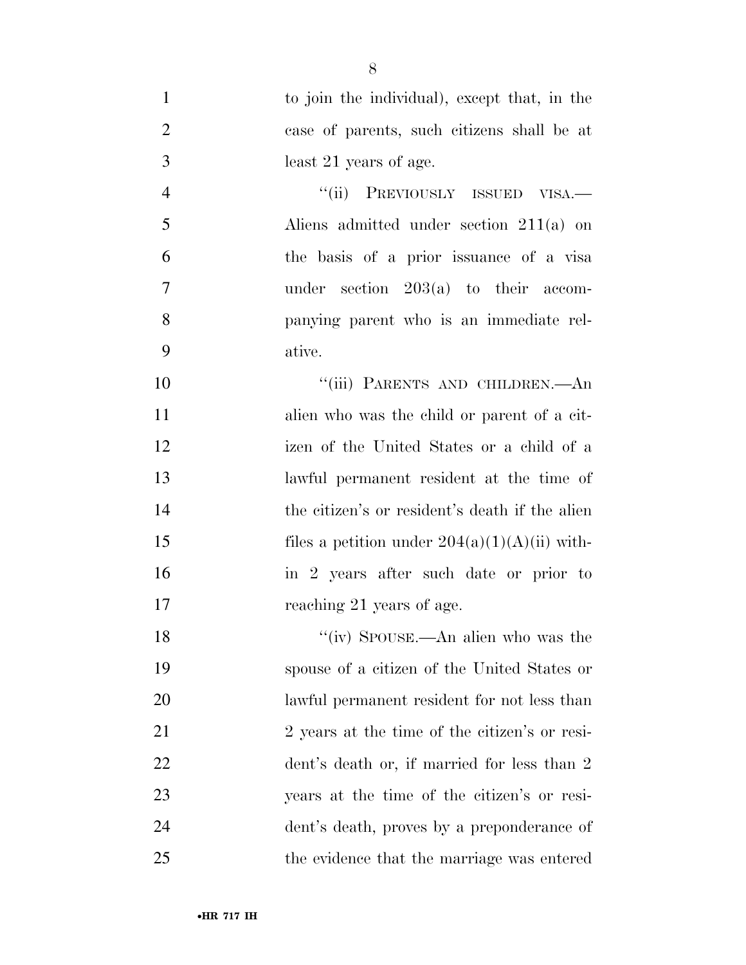to join the individual), except that, in the case of parents, such citizens shall be at least 21 years of age. 4 "(ii) PREVIOUSLY ISSUED VISA.— Aliens admitted under section 211(a) on the basis of a prior issuance of a visa under section 203(a) to their accom- panying parent who is an immediate rel- ative. 10 "'(iii) PARENTS AND CHILDREN.—An alien who was the child or parent of a cit- izen of the United States or a child of a lawful permanent resident at the time of 14 the citizen's or resident's death if the alien 15 files a petition under  $204(a)(1)(A)(ii)$  with- in 2 years after such date or prior to 17 reaching 21 years of age. 18 ''(iv) SPOUSE.—An alien who was the spouse of a citizen of the United States or lawful permanent resident for not less than 21 2 years at the time of the citizen's or resi-22 dent's death or, if married for less than 2 years at the time of the citizen's or resi-

the evidence that the marriage was entered

dent's death, proves by a preponderance of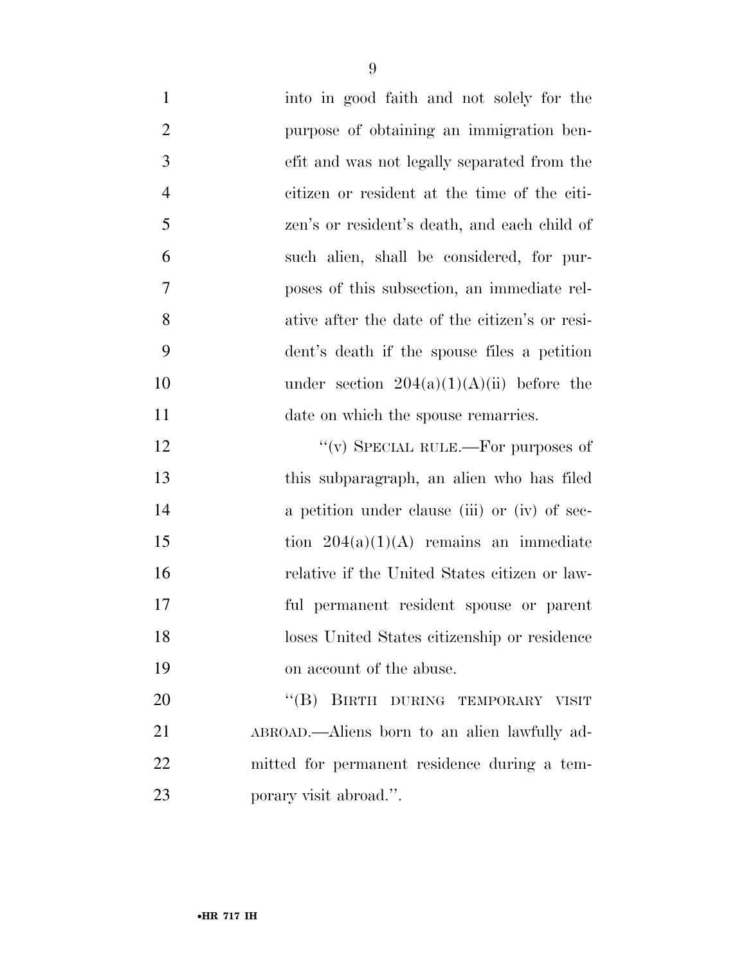| $\mathbf{1}$   | into in good faith and not solely for the      |
|----------------|------------------------------------------------|
| $\overline{2}$ | purpose of obtaining an immigration ben-       |
| 3              | efit and was not legally separated from the    |
| $\overline{4}$ | citizen or resident at the time of the citi-   |
| 5              | zen's or resident's death, and each child of   |
| 6              | such alien, shall be considered, for pur-      |
| 7              | poses of this subsection, an immediate rel-    |
| 8              | ative after the date of the citizen's or resi- |
| 9              | dent's death if the spouse files a petition    |
| 10             | under section $204(a)(1)(A)(ii)$ before the    |
| 11             | date on which the spouse remarries.            |
| 12             | "(v) SPECIAL RULE.—For purposes of             |
| 13             | this subparagraph, an alien who has filed      |
| 14             | a petition under clause (iii) or (iv) of sec-  |
| 15             | tion $204(a)(1)(A)$ remains an immediate       |
| 16             | relative if the United States citizen or law-  |
| 17             | ful permanent resident spouse or parent        |
| 18             | loses United States citizenship or residence   |
| 19             | on account of the abuse.                       |
| 20             | "(B) BIRTH DURING TEMPORARY VISIT              |
| 21             | ABROAD.—Aliens born to an alien lawfully ad-   |
| 22             | mitted for permanent residence during a tem-   |
| 23             | porary visit abroad.".                         |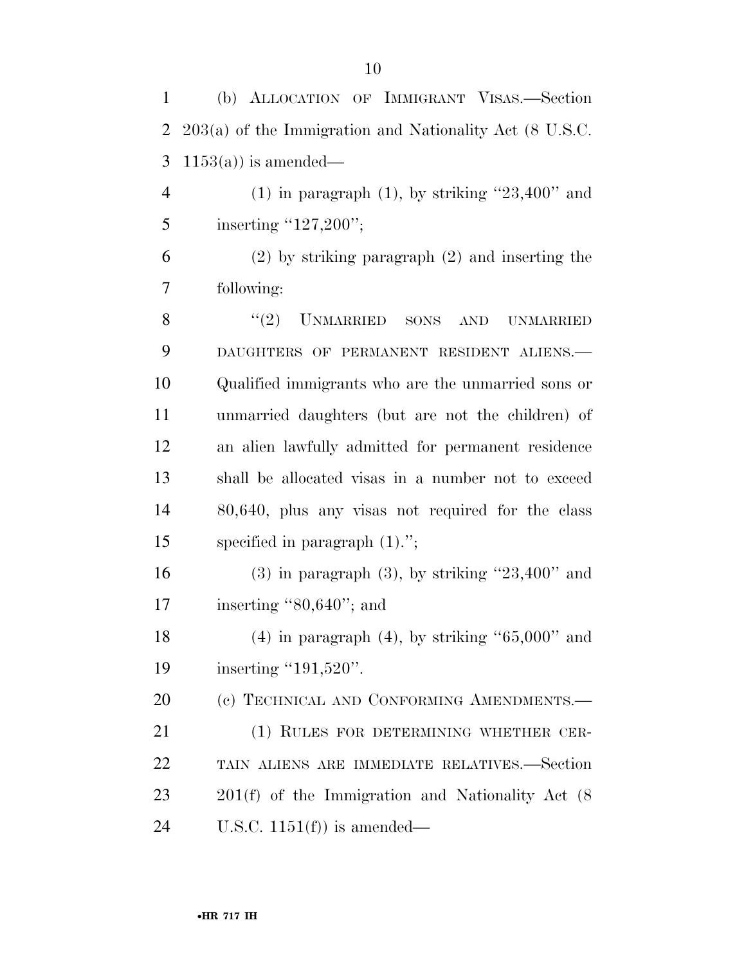(b) ALLOCATION OF IMMIGRANT VISAS.—Section

| $\overline{2}$ | $203(a)$ of the Immigration and Nationality Act (8 U.S.C. |
|----------------|-----------------------------------------------------------|
| 3              | $1153(a)$ ) is amended—                                   |
| $\overline{4}$ | $(1)$ in paragraph $(1)$ , by striking "23,400" and       |
| 5              | inserting " $127,200$ ";                                  |
| 6              | $(2)$ by striking paragraph $(2)$ and inserting the       |
| 7              | following:                                                |
| 8              | $"(2)$ UNMARRIED SONS<br><b>AND</b><br><b>UNMARRIED</b>   |
| 9              | DAUGHTERS OF PERMANENT RESIDENT ALIENS.                   |
| 10             | Qualified immigrants who are the unmarried sons or        |
| 11             | unmarried daughters (but are not the children) of         |
| 12             | an alien lawfully admitted for permanent residence        |
| 13             | shall be allocated visas in a number not to exceed        |
| 14             | 80,640, plus any visas not required for the class         |
| 15             | specified in paragraph $(1)$ .";                          |
| 16             | $(3)$ in paragraph $(3)$ , by striking "23,400" and       |
| 17             | inserting $"80,640"$ ; and                                |
| 18             | $(4)$ in paragraph $(4)$ , by striking " $65,000$ " and   |
| 19             | inserting " $191,520$ ".                                  |
| 20             | (c) TECHNICAL AND CONFORMING AMENDMENTS.-                 |
| 21             | (1) RULES FOR DETERMINING WHETHER CER-                    |
| 22             | TAIN ALIENS ARE IMMEDIATE RELATIVES.-Section              |
| 23             | $201(f)$ of the Immigration and Nationality Act $(8)$     |
| 24             | U.S.C. $1151(f)$ is amended—                              |
|                |                                                           |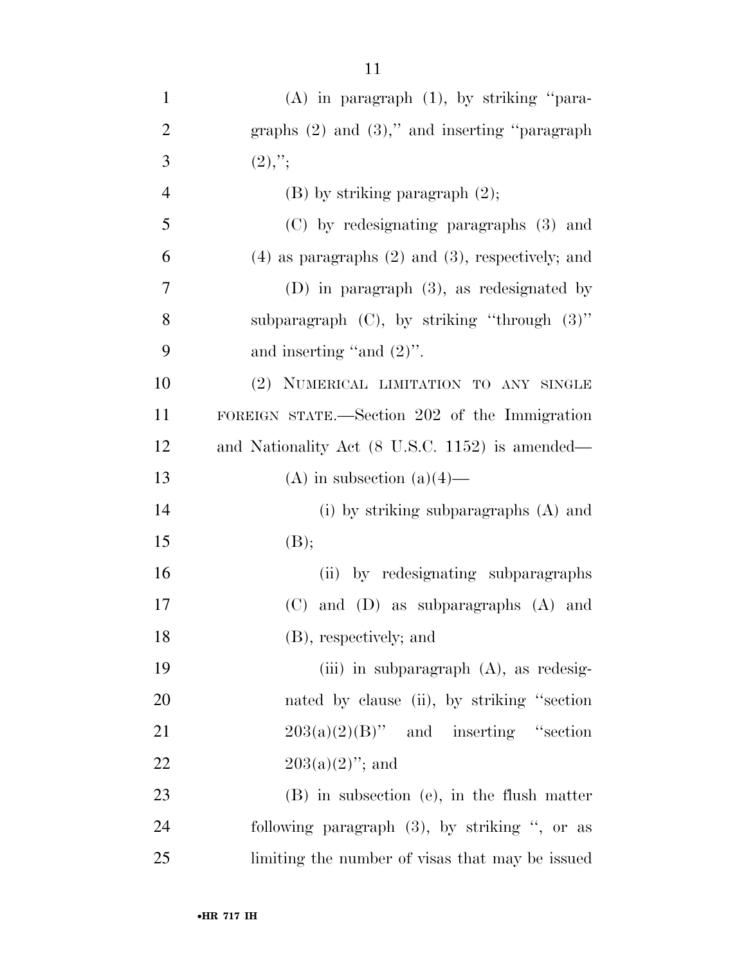| $\mathbf{1}$   | $(A)$ in paragraph $(1)$ , by striking "para-           |
|----------------|---------------------------------------------------------|
| $\overline{2}$ | graphs $(2)$ and $(3)$ ," and inserting "paragraph"     |
| 3              | $(2),$ ";                                               |
| $\overline{4}$ | $(B)$ by striking paragraph $(2)$ ;                     |
| 5              | (C) by redesignating paragraphs (3) and                 |
| 6              | $(4)$ as paragraphs $(2)$ and $(3)$ , respectively; and |
| 7              | $(D)$ in paragraph $(3)$ , as redesignated by           |
| 8              | subparagraph $(C)$ , by striking "through $(3)$ "       |
| 9              | and inserting "and $(2)$ ".                             |
| 10             | (2) NUMERICAL LIMITATION TO ANY SINGLE                  |
| 11             | FOREIGN STATE.—Section 202 of the Immigration           |
| 12             | and Nationality Act (8 U.S.C. 1152) is amended—         |
| 13             | (A) in subsection $(a)(4)$ —                            |
| 14             | (i) by striking subparagraphs $(A)$ and                 |
| 15             | (B);                                                    |
| 16             | (ii) by redesignating subparagraphs                     |
| 17             | and (D) as subparagraphs (A) and<br>(C)                 |
| 18             | (B), respectively; and                                  |
| 19             | (iii) in subparagraph $(A)$ , as redesig-               |
| 20             | nated by clause (ii), by striking "section              |
| 21             | $203(a)(2)(B)$ " and inserting "section                 |
| 22             | $203(a)(2)$ "; and                                      |
| 23             | (B) in subsection (e), in the flush matter              |
| 24             | following paragraph $(3)$ , by striking ", or as        |
| 25             | limiting the number of visas that may be issued         |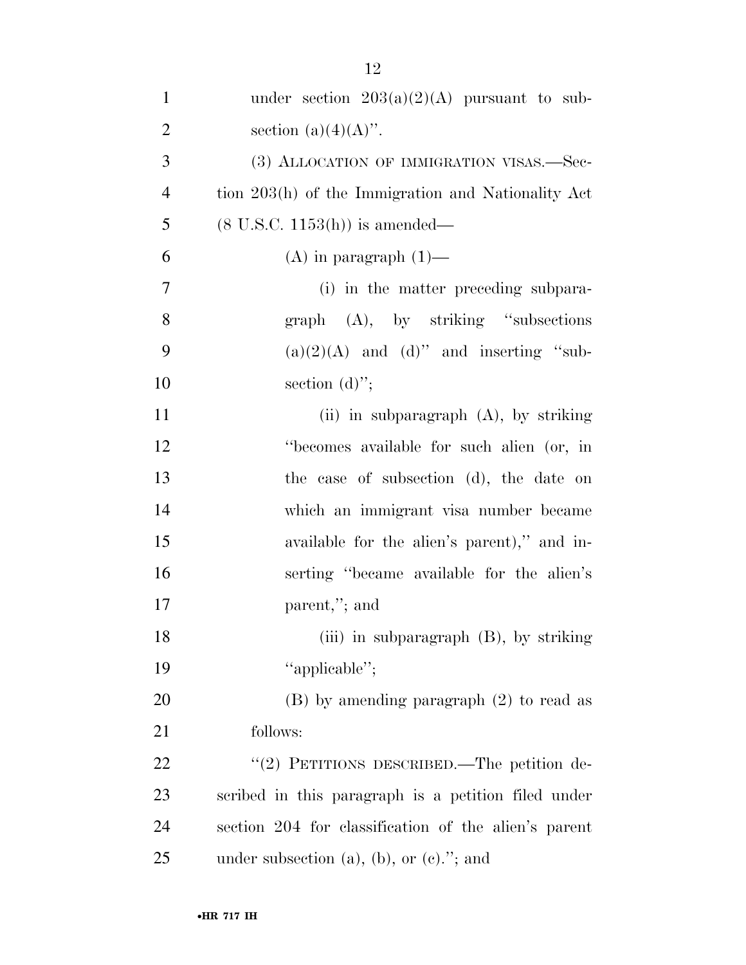| $\mathbf{1}$   | under section $203(a)(2)(A)$ pursuant to sub-        |
|----------------|------------------------------------------------------|
| $\overline{2}$ | section $(a)(4)(A)$ .                                |
| 3              | (3) ALLOCATION OF IMMIGRATION VISAS.—Sec-            |
| $\overline{4}$ | tion 203(h) of the Immigration and Nationality Act   |
| 5              | $(8 \text{ U.S.C. } 1153(h))$ is amended—            |
| 6              | $(A)$ in paragraph $(1)$ —                           |
| $\tau$         | (i) in the matter preceding subpara-                 |
| 8              | $graph$ (A), by striking "subsections"               |
| 9              | $(a)(2)(A)$ and $(d)$ " and inserting "sub-          |
| 10             | section $(d)$ ";                                     |
| 11             | (ii) in subparagraph $(A)$ , by striking             |
| 12             | "becomes available for such alien (or, in            |
| 13             | the case of subsection (d), the date on              |
| 14             | which an immigrant visa number became                |
| 15             | available for the alien's parent)," and in-          |
| 16             | serting "became available for the alien's            |
| 17             | parent,"; and                                        |
| 18             | (iii) in subparagraph (B), by striking               |
| 19             | "applicable";                                        |
| 20             | $(B)$ by amending paragraph $(2)$ to read as         |
| 21             | follows:                                             |
| 22             | "(2) PETITIONS DESCRIBED.—The petition de-           |
| 23             | scribed in this paragraph is a petition filed under  |
| 24             | section 204 for classification of the alien's parent |
| 25             | under subsection $(a)$ , $(b)$ , or $(c)$ ."; and    |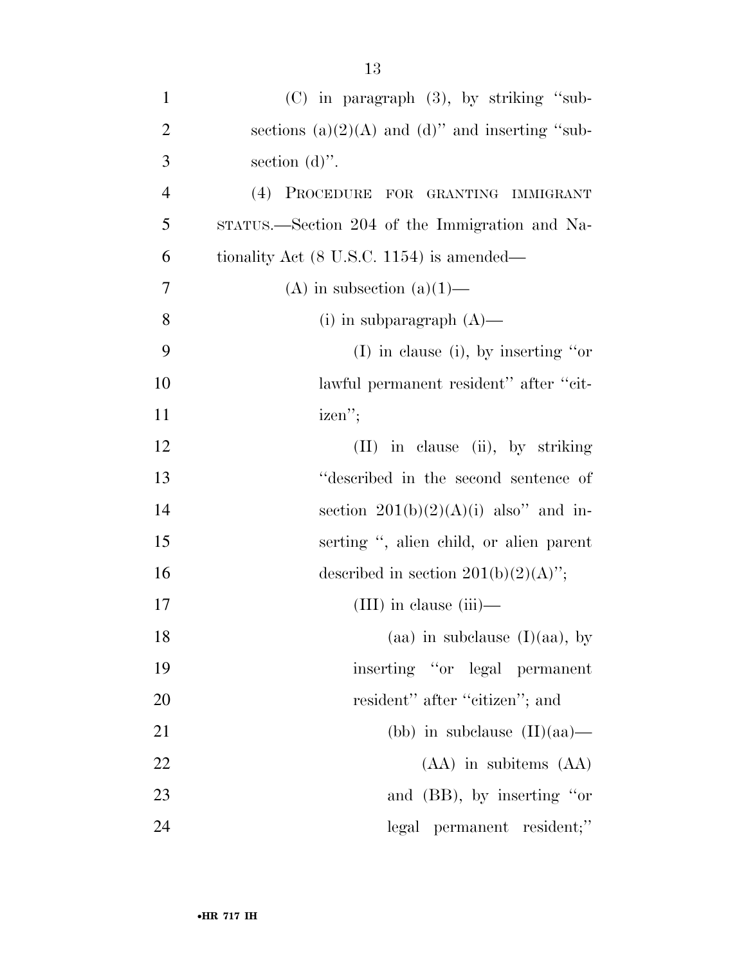| $\mathbf{1}$   | $(C)$ in paragraph $(3)$ , by striking "sub-         |
|----------------|------------------------------------------------------|
| $\overline{2}$ | sections (a) $(2)(A)$ and (d)" and inserting "sub-   |
| 3              | section $(d)$ ".                                     |
| $\overline{4}$ | (4) PROCEDURE FOR GRANTING IMMIGRANT                 |
| 5              | STATUS.—Section 204 of the Immigration and Na-       |
| 6              | tionality Act $(8 \text{ U.S.C. } 1154)$ is amended— |
| 7              | (A) in subsection $(a)(1)$ —                         |
| 8              | (i) in subparagraph $(A)$ —                          |
| 9              | $(I)$ in clause (i), by inserting "or                |
| 10             | lawful permanent resident" after "cit-               |
| 11             | izen";                                               |
| 12             | $(II)$ in clause $(ii)$ , by striking                |
| 13             | "described in the second sentence of                 |
| 14             | section $201(b)(2)(A)(i)$ also" and in-              |
| 15             | serting ", alien child, or alien parent              |
| 16             | described in section $201(b)(2)(A)$ ";               |
| 17             | $(III)$ in clause $(iii)$ —                          |
| 18             | (aa) in subclause $(I)(aa)$ , by                     |
| 19             | inserting "or legal permanent                        |
| 20             | resident" after "citizen"; and                       |
| 21             | (bb) in subclause $(II)(aa)$ —                       |
| 22             | $(AA)$ in subitems $(AA)$                            |
| 23             | and (BB), by inserting "or                           |
| 24             | legal permanent resident;"                           |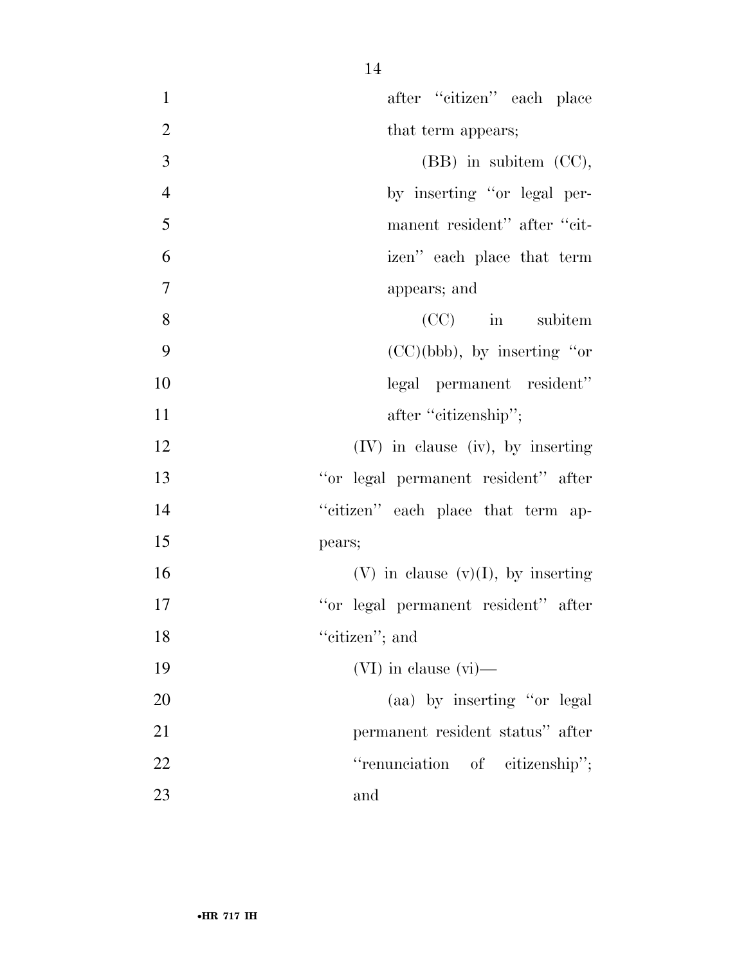| $\mathbf{1}$   | after "citizen" each place              |
|----------------|-----------------------------------------|
| $\overline{2}$ | that term appears;                      |
| 3              | $(BB)$ in subitem $(CC)$ ,              |
| $\overline{4}$ | by inserting "or legal per-             |
| 5              | manent resident" after "cit-            |
| 6              | izen" each place that term              |
| $\overline{7}$ | appears; and                            |
| 8              | $(CC)$ in subitem                       |
| 9              | $(CC)(bbb)$ , by inserting "or          |
| 10             | legal permanent resident"               |
| 11             | after "citizenship";                    |
| 12             | $(IV)$ in clause $(iv)$ , by inserting  |
| 13             | "or legal permanent resident" after     |
| 14             | "citizen" each place that term ap-      |
| 15             | pears;                                  |
| 16             | $(V)$ in clause $(v)(I)$ , by inserting |
| 17             | "or legal permanent resident" after     |
| 18             | "citizen"; and                          |
| 19             | $(VI)$ in clause $(vi)$ —               |
| 20             | (aa) by inserting "or legal             |
| 21             | permanent resident status" after        |
| 22             | "renunciation of citizenship";          |
| 23             | and                                     |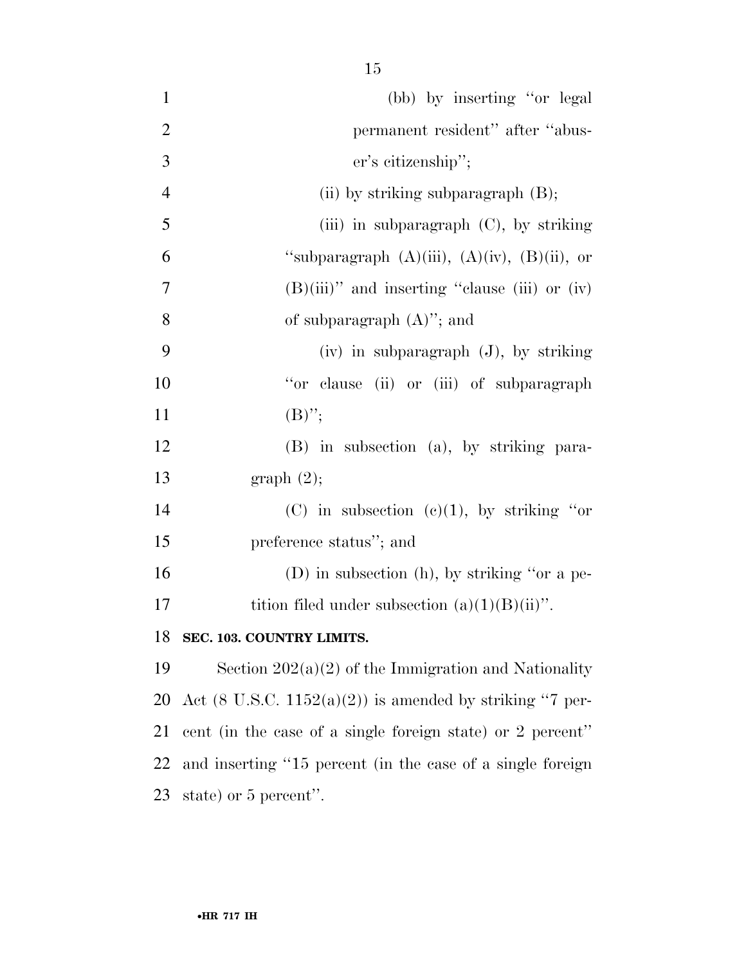| $\mathbf{1}$   | (bb) by inserting "or legal                                         |
|----------------|---------------------------------------------------------------------|
| $\overline{2}$ | permanent resident" after "abus-                                    |
| 3              | er's citizenship";                                                  |
| $\overline{4}$ | (ii) by striking subparagraph $(B)$ ;                               |
| 5              | (iii) in subparagraph $(C)$ , by striking                           |
| 6              | "subparagraph $(A)(iii)$ , $(A)(iv)$ , $(B)(ii)$ , or               |
| 7              | $(B)(iii)$ " and inserting "clause (iii) or (iv)                    |
| 8              | of subparagraph $(A)$ "; and                                        |
| 9              | $(iv)$ in subparagraph $(J)$ , by striking                          |
| 10             | "or clause (ii) or (iii) of subparagraph                            |
| 11             | $(B)$ ";                                                            |
| 12             | (B) in subsection (a), by striking para-                            |
| 13             | graph(2);                                                           |
| 14             | (C) in subsection (c)(1), by striking "or                           |
| 15             | preference status"; and                                             |
| 16             | (D) in subsection (h), by striking "or a pe-                        |
| 17             | tition filed under subsection $(a)(1)(B)(ii)$ ".                    |
| 18             | SEC. 103. COUNTRY LIMITS.                                           |
| 19             | Section $202(a)(2)$ of the Immigration and Nationality              |
| 20             | Act $(8 \text{ U.S.C. } 1152(a)(2))$ is amended by striking "7 per- |
| 21             | cent (in the case of a single foreign state) or 2 percent"          |
| 22             | and inserting "15 percent (in the case of a single foreign          |
| 23             | state) or 5 percent".                                               |
|                |                                                                     |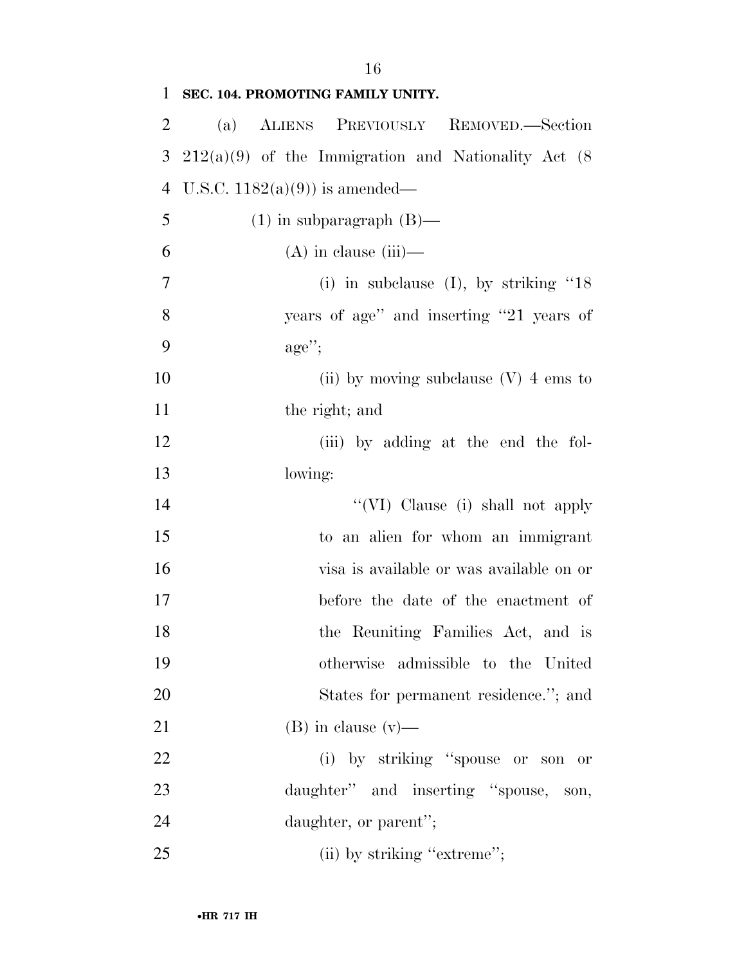| 1              | SEC. 104. PROMOTING FAMILY UNITY.                      |
|----------------|--------------------------------------------------------|
| $\overline{2}$ | (a) ALIENS PREVIOUSLY REMOVED.—Section                 |
| 3              | $212(a)(9)$ of the Immigration and Nationality Act (8) |
| $\overline{4}$ | U.S.C. $1182(a)(9)$ is amended—                        |
| 5              | $(1)$ in subparagraph $(B)$ —                          |
| 6              | $(A)$ in clause (iii)—                                 |
| $\overline{7}$ | (i) in subclause (I), by striking " $18$               |
| 8              | years of age" and inserting "21 years of               |
| 9              | $\text{age}''$                                         |
| 10             | (ii) by moving subclause $(V)$ 4 ems to                |
| 11             | the right; and                                         |
| 12             | (iii) by adding at the end the fol-                    |
| 13             | lowing:                                                |
| 14             | "(VI) Clause (i) shall not apply                       |
| 15             | to an alien for whom an immigrant                      |
| 16             | visa is available or was available on or               |
| 17             | before the date of the enactment of                    |
| 18             | the Reuniting Families Act, and is                     |
| 19             | otherwise admissible to the United                     |
| 20             | States for permanent residence."; and                  |
| 21             | $(B)$ in clause $(v)$ —                                |
| 22             | (i) by striking "spouse or son or                      |
| 23             | daughter" and inserting "spouse, son,                  |
| 24             | daughter, or parent";                                  |
| 25             | (ii) by striking "extreme";                            |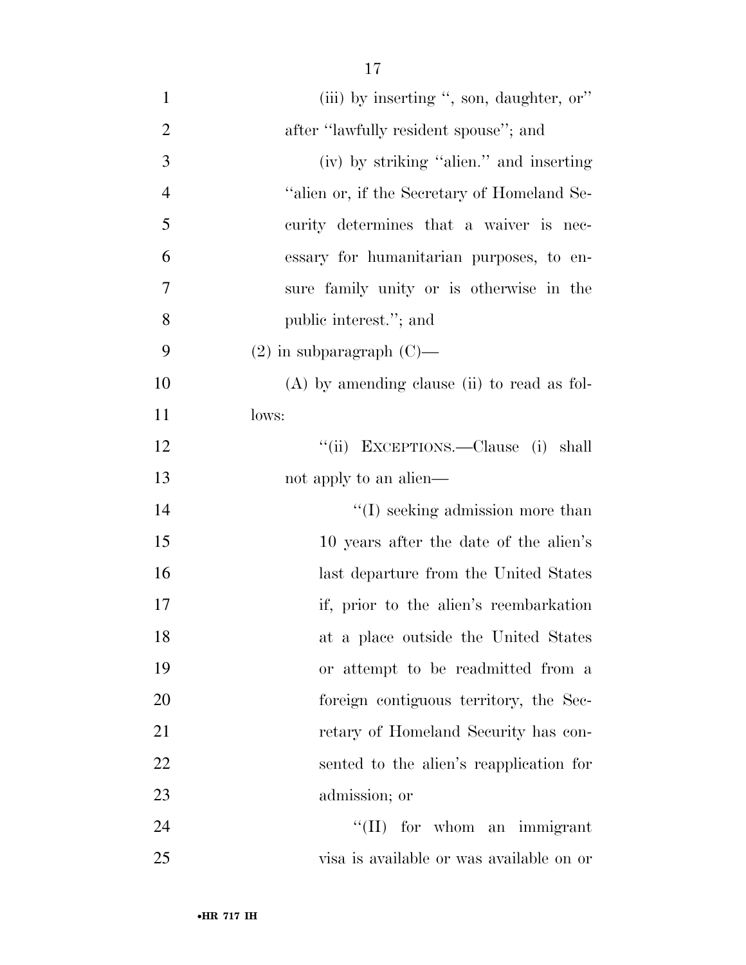| $\mathbf{1}$   | (iii) by inserting ", son, daughter, or"      |
|----------------|-----------------------------------------------|
| $\overline{2}$ | after "lawfully resident spouse"; and         |
| 3              | (iv) by striking "alien." and inserting       |
| $\overline{4}$ | "alien or, if the Secretary of Homeland Se-   |
| 5              | curity determines that a waiver is nec-       |
| 6              | essary for humanitarian purposes, to en-      |
| 7              | sure family unity or is otherwise in the      |
| 8              | public interest."; and                        |
| 9              | $(2)$ in subparagraph $(C)$ —                 |
| 10             | $(A)$ by amending clause (ii) to read as fol- |
| 11             | lows:                                         |
| 12             | "(ii) EXCEPTIONS.—Clause (i) shall            |
| 13             | not apply to an alien—                        |
| 14             | $\lq\lq$ seeking admission more than          |
| 15             | 10 years after the date of the alien's        |
| 16             | last departure from the United States         |
| 17             | if, prior to the alien's reembarkation        |
| 18             | at a place outside the United States          |
| 19             | or attempt to be readmitted from a            |
| 20             | foreign contiguous territory, the Sec-        |
| 21             | retary of Homeland Security has con-          |
| 22             | sented to the alien's reapplication for       |
| 23             | admission; or                                 |
| 24             | $\lq\lq$ (II) for whom an immigrant           |
| 25             | visa is available or was available on or      |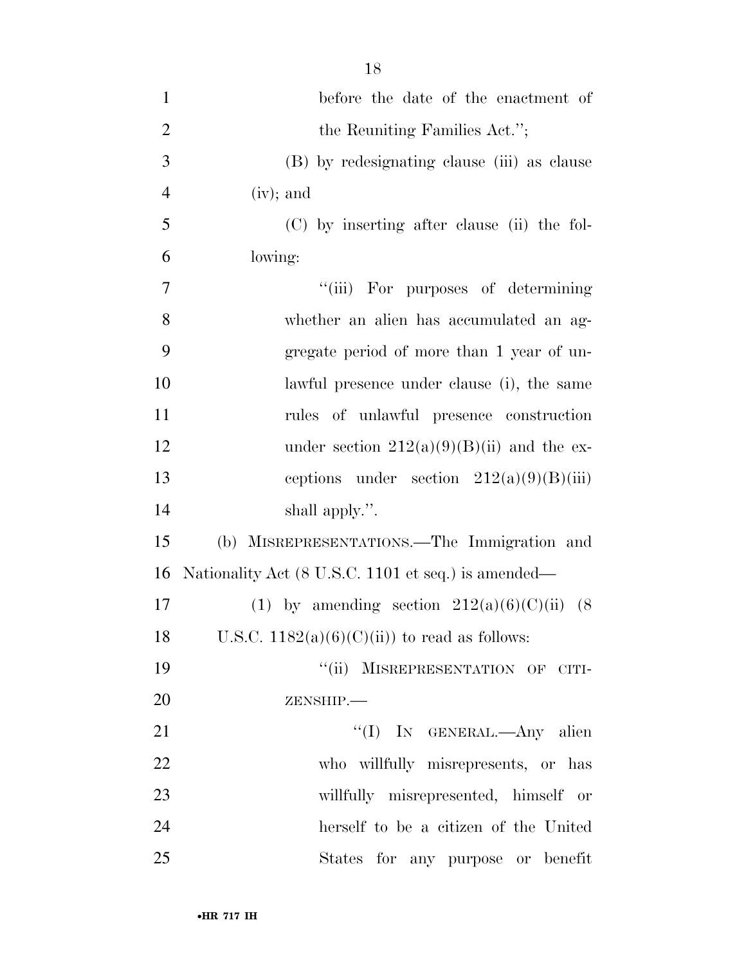| $\mathbf{1}$   | before the date of the enactment of                 |
|----------------|-----------------------------------------------------|
| $\overline{2}$ | the Reuniting Families Act.";                       |
| 3              | (B) by redesignating clause (iii) as clause         |
| $\overline{4}$ | $(iv);$ and                                         |
| 5              | (C) by inserting after clause (ii) the fol-         |
| 6              | lowing:                                             |
| 7              | "(iii) For purposes of determining                  |
| 8              | whether an alien has accumulated an ag-             |
| 9              | gregate period of more than 1 year of un-           |
| 10             | lawful presence under clause (i), the same          |
| 11             | rules of unlawful presence construction             |
| 12             | under section $212(a)(9)(B)(ii)$ and the ex-        |
| 13             | ceptions under section $212(a)(9)(B)(iii)$          |
| 14             | shall apply.".                                      |
| 15             | (b) MISREPRESENTATIONS.—The Immigration and         |
| 16             | Nationality Act (8 U.S.C. 1101 et seq.) is amended— |
| 17             | (1) by amending section $212(a)(6)(C)(ii)$ (8)      |
| 18             | U.S.C. $1182(a)(6)(C(ii))$ to read as follows:      |
| 19             | "(ii) MISREPRESENTATION OF CITI-                    |
| 20             | ZENSHIP.-                                           |
| 21             | "(I) IN GENERAL.—Any alien                          |
| 22             | who willfully misrepresents, or has                 |
| 23             | willfully misrepresented, himself or                |
| 24             | herself to be a citizen of the United               |
| 25             | States for any purpose or benefit                   |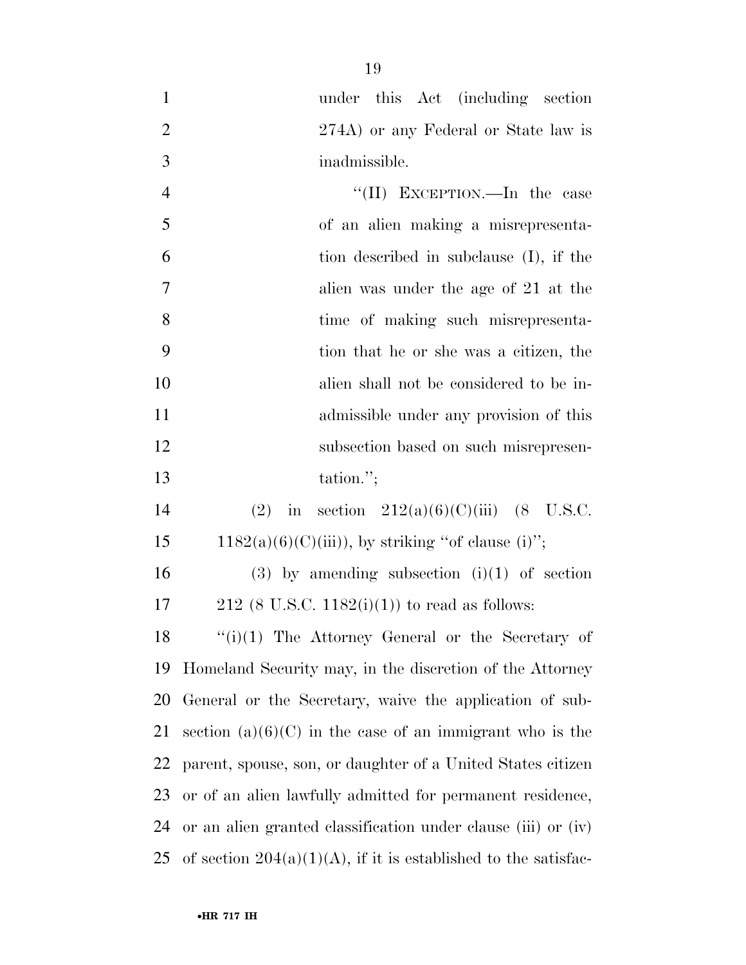under this Act (including section 2 274A) or any Federal or State law is inadmissible.

| $\overline{4}$ | "(II) EXCEPTION.—In the case            |
|----------------|-----------------------------------------|
| 5              | of an alien making a misrepresenta-     |
| 6              | tion described in subclause (I), if the |
| $\overline{7}$ | alien was under the age of 21 at the    |
| 8              | time of making such misrepresenta-      |
| 9              | tion that he or she was a citizen, the  |
| 10             | alien shall not be considered to be in- |
| 11             | admissible under any provision of this  |
| 12             | subsection based on such misrepresen-   |
| 13             | tation.";                               |

| 14 |  | (2) in section $212(a)(6)(C)(iii)$ (8 U.S.C.        |  |
|----|--|-----------------------------------------------------|--|
| 15 |  | $1182(a)(6)(C(iii))$ , by striking "of clause (i)"; |  |

16 (3) by amending subsection  $(i)(1)$  of section 17 212 (8 U.S.C. 1182(i)(1)) to read as follows:

 "(i)(1) The Attorney General or the Secretary of Homeland Security may, in the discretion of the Attorney General or the Secretary, waive the application of sub-21 section  $(a)(6)(C)$  in the case of an immigrant who is the parent, spouse, son, or daughter of a United States citizen or of an alien lawfully admitted for permanent residence, or an alien granted classification under clause (iii) or (iv) 25 of section  $204(a)(1)(A)$ , if it is established to the satisfac-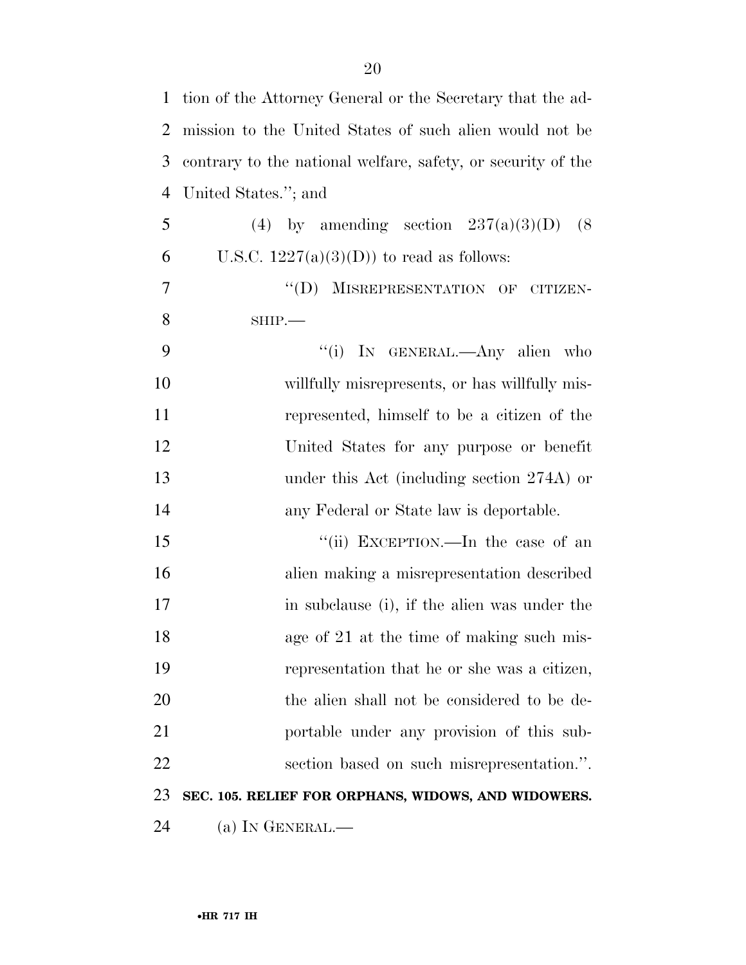| $\mathbf{1}$   | tion of the Attorney General or the Secretary that the ad-   |
|----------------|--------------------------------------------------------------|
| $\overline{2}$ | mission to the United States of such alien would not be      |
| 3              | contrary to the national welfare, safety, or security of the |
| $\overline{4}$ | United States."; and                                         |
| 5              | (4) by amending section $237(a)(3)(D)$ (8)                   |
| 6              | U.S.C. $1227(a)(3)(D)$ to read as follows:                   |
| 7              | "(D) MISREPRESENTATION OF CITIZEN-                           |
| 8              | $SHIP$ .                                                     |
| 9              | "(i) IN GENERAL.—Any alien who                               |
| 10             | willfully misrepresents, or has willfully mis-               |
| 11             | represented, himself to be a citizen of the                  |
| 12             | United States for any purpose or benefit                     |
| 13             | under this Act (including section 274A) or                   |
| 14             | any Federal or State law is deportable.                      |
| 15             | "(ii) EXCEPTION.—In the case of an                           |
| 16             | alien making a misrepresentation described                   |
| 17             | in subclause (i), if the alien was under the                 |
| 18             | age of 21 at the time of making such mis-                    |
| 19             | representation that he or she was a citizen,                 |
| 20             | the alien shall not be considered to be de-                  |
| 21             | portable under any provision of this sub-                    |
| 22             | section based on such misrepresentation.".                   |
| 23             | SEC. 105. RELIEF FOR ORPHANS, WIDOWS, AND WIDOWERS.          |
| 24             | (a) IN GENERAL.—                                             |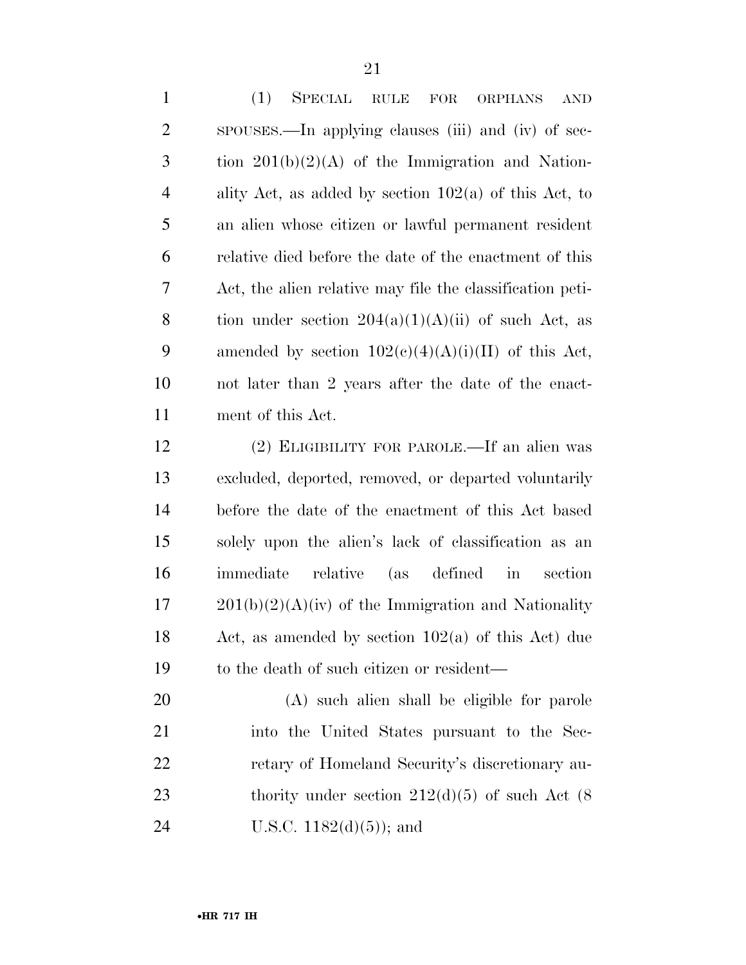(1) SPECIAL RULE FOR ORPHANS AND SPOUSES.—In applying clauses (iii) and (iv) of sec- tion  $201(b)(2)(A)$  of the Immigration and Nation- ality Act, as added by section 102(a) of this Act, to an alien whose citizen or lawful permanent resident relative died before the date of the enactment of this Act, the alien relative may file the classification peti-8 tion under section  $204(a)(1)(A)(ii)$  of such Act, as 9 amended by section  $102(c)(4)(A)(i)(II)$  of this Act, not later than 2 years after the date of the enact-ment of this Act.

 (2) ELIGIBILITY FOR PAROLE.—If an alien was excluded, deported, removed, or departed voluntarily before the date of the enactment of this Act based solely upon the alien's lack of classification as an immediate relative (as defined in section  $17 \qquad 201(b)(2)(A)(iv)$  of the Immigration and Nationality Act, as amended by section 102(a) of this Act) due to the death of such citizen or resident—

 (A) such alien shall be eligible for parole into the United States pursuant to the Sec- retary of Homeland Security's discretionary au-23 thority under section  $212(d)(5)$  of such Act  $(8)$ U.S.C. 1182(d)(5)); and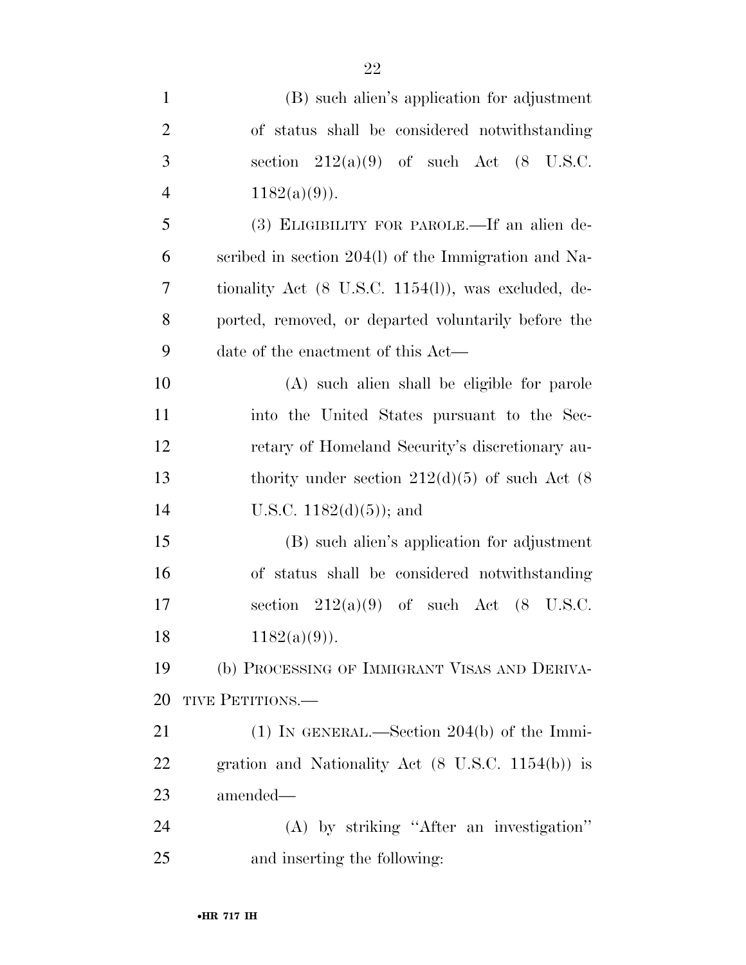| $\mathbf{1}$   | (B) such alien's application for adjustment                     |
|----------------|-----------------------------------------------------------------|
| $\overline{2}$ | of status shall be considered notwithstanding                   |
| 3              | section $212(a)(9)$ of such Act $(8 \text{ U.S.C.})$            |
| $\overline{4}$ | $1182(a)(9)$ ).                                                 |
| 5              | (3) ELIGIBILITY FOR PAROLE.—If an alien de-                     |
| 6              | scribed in section 204(1) of the Immigration and Na-            |
| 7              | tionality Act $(8 \text{ U.S.C. } 1154(l))$ , was excluded, de- |
| 8              | ported, removed, or departed voluntarily before the             |
| 9              | date of the enactment of this Act—                              |
| 10             | (A) such alien shall be eligible for parole                     |
| 11             | into the United States pursuant to the Sec-                     |
| 12             | retary of Homeland Security's discretionary au-                 |
| 13             | thority under section $212(d)(5)$ of such Act (8)               |
| 14             | U.S.C. $1182(d)(5)$ ; and                                       |
| 15             | (B) such alien's application for adjustment                     |
| 16             | of status shall be considered notwithstanding                   |
| 17             | section $212(a)(9)$ of such Act $(8 \text{ U.S.C.})$            |
| 18             | $1182(a)(9)$ ).                                                 |
| 19             | (b) PROCESSING OF IMMIGRANT VISAS AND DERIVA-                   |
| 20             | TIVE PETITIONS.—                                                |
| 21             | $(1)$ IN GENERAL.—Section 204(b) of the Immi-                   |
| 22             | gration and Nationality Act $(8 \text{ U.S.C. } 1154(b))$ is    |
| 23             | amended—                                                        |
| 24             | (A) by striking "After an investigation"                        |
| 25             | and inserting the following:                                    |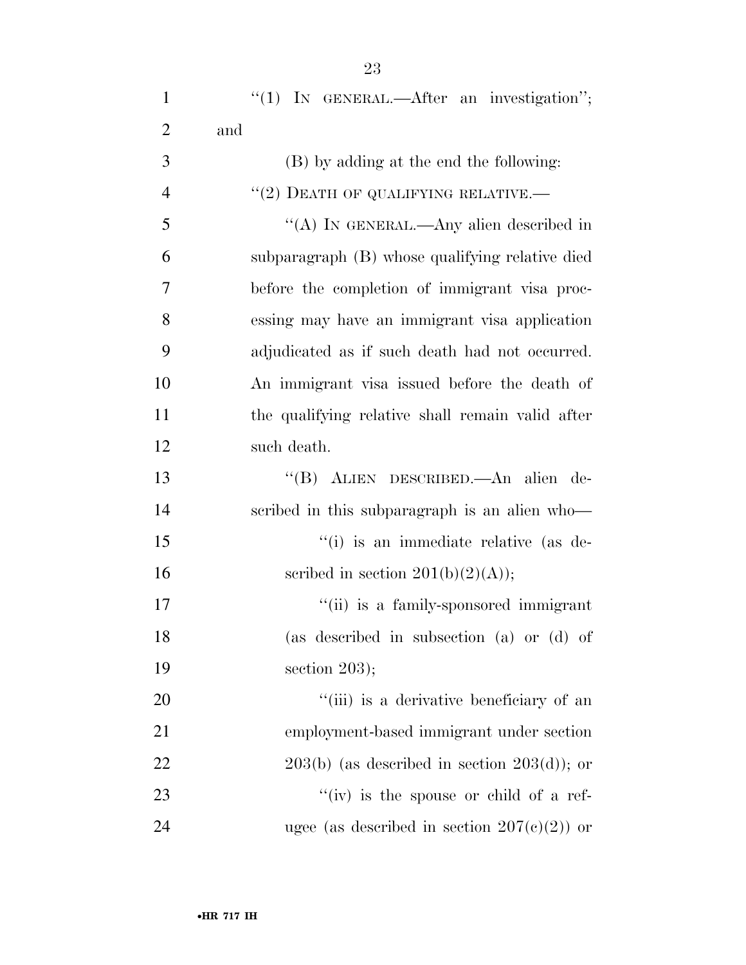| $\mathbf{1}$   | " $(1)$ IN GENERAL.—After an investigation";     |
|----------------|--------------------------------------------------|
| $\overline{2}$ | and                                              |
| 3              | (B) by adding at the end the following:          |
| $\overline{4}$ | $``(2)$ DEATH OF QUALIFYING RELATIVE.—           |
| 5              | "(A) IN GENERAL.—Any alien described in          |
| 6              | subparagraph (B) whose qualifying relative died  |
| 7              | before the completion of immigrant visa proc-    |
| 8              | essing may have an immigrant visa application    |
| 9              | adjudicated as if such death had not occurred.   |
| 10             | An immigrant visa issued before the death of     |
| 11             | the qualifying relative shall remain valid after |
| 12             | such death.                                      |
| 13             | "(B) ALIEN DESCRIBED.—An alien de-               |
| 14             | scribed in this subparagraph is an alien who-    |
| 15             | "(i) is an immediate relative (as de-            |
| 16             | scribed in section $201(b)(2)(A));$              |
| 17             | "(ii) is a family-sponsored immigrant            |
| 18             | (as described in subsection (a) or (d) of        |
| 19             | section $203$ );                                 |
| 20             | "(iii) is a derivative beneficiary of an         |
| 21             | employment-based immigrant under section         |
| 22             | $203(b)$ (as described in section $203(d)$ ); or |
| 23             | "(iv) is the spouse or child of a ref-           |
| 24             | ugee (as described in section $207(c)(2)$ ) or   |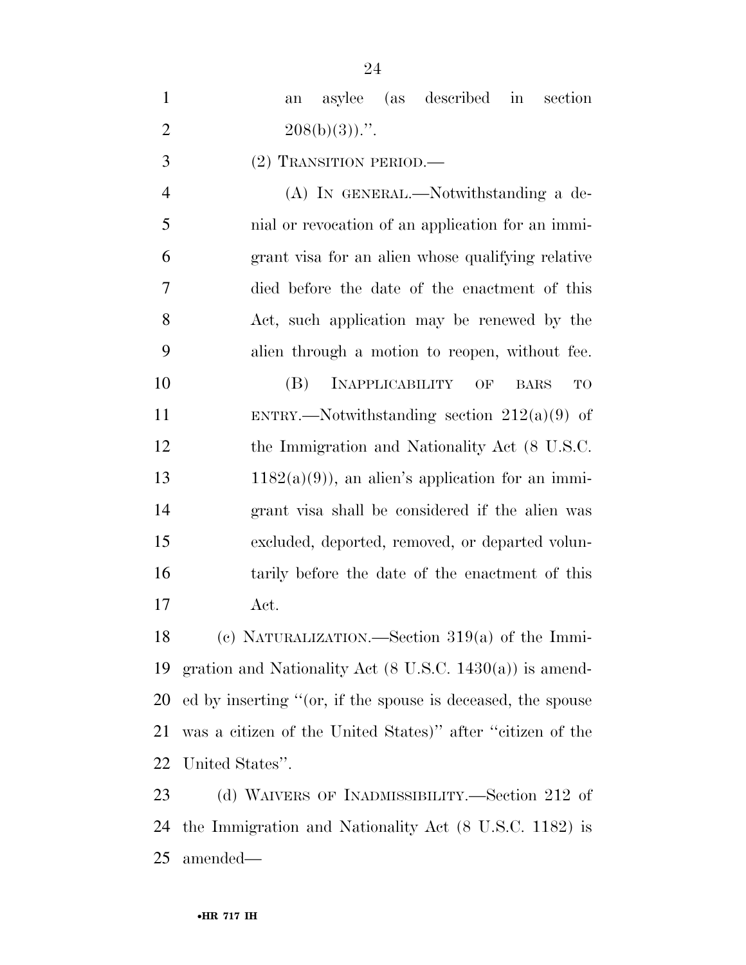|                | 24                                                                 |
|----------------|--------------------------------------------------------------------|
| $\mathbf{1}$   | described<br>(as<br>asylee<br>$\operatorname{in}$<br>section<br>an |
| $\overline{2}$ | $208(b)(3)$ .".                                                    |
| 3              | (2) TRANSITION PERIOD.—                                            |
| $\overline{4}$ | (A) IN GENERAL.—Notwithstanding a de-                              |
| 5              | nial or revocation of an application for an immi-                  |
| 6              | grant visa for an alien whose qualifying relative                  |
| 7              | died before the date of the enactment of this                      |
| 8              | Act, such application may be renewed by the                        |
| 9              | alien through a motion to reopen, without fee.                     |
| 10             | (B)<br><b>INAPPLICABILITY</b><br>OF<br><b>BARS</b><br>TO           |
| 11             | ENTRY.—Notwithstanding section $212(a)(9)$ of                      |
| 12             | the Immigration and Nationality Act (8 U.S.C.                      |
| 13             | $1182(a)(9)$ , an alien's application for an immi-                 |
| 14             | grant visa shall be considered if the alien was                    |
| 15             | excluded, deported, removed, or departed volun-                    |
| 16             | tarily before the date of the enactment of this                    |
| 17             | Act.                                                               |
| 18             | (c) NATURALIZATION.—Section $319(a)$ of the Immi-                  |
|                |                                                                    |

 gration and Nationality Act (8 U.S.C. 1430(a)) is amend- ed by inserting ''(or, if the spouse is deceased, the spouse was a citizen of the United States)'' after ''citizen of the United States''.

 (d) WAIVERS OF INADMISSIBILITY.—Section 212 of the Immigration and Nationality Act (8 U.S.C. 1182) is amended—

 $\Omega$ <sup>4</sup>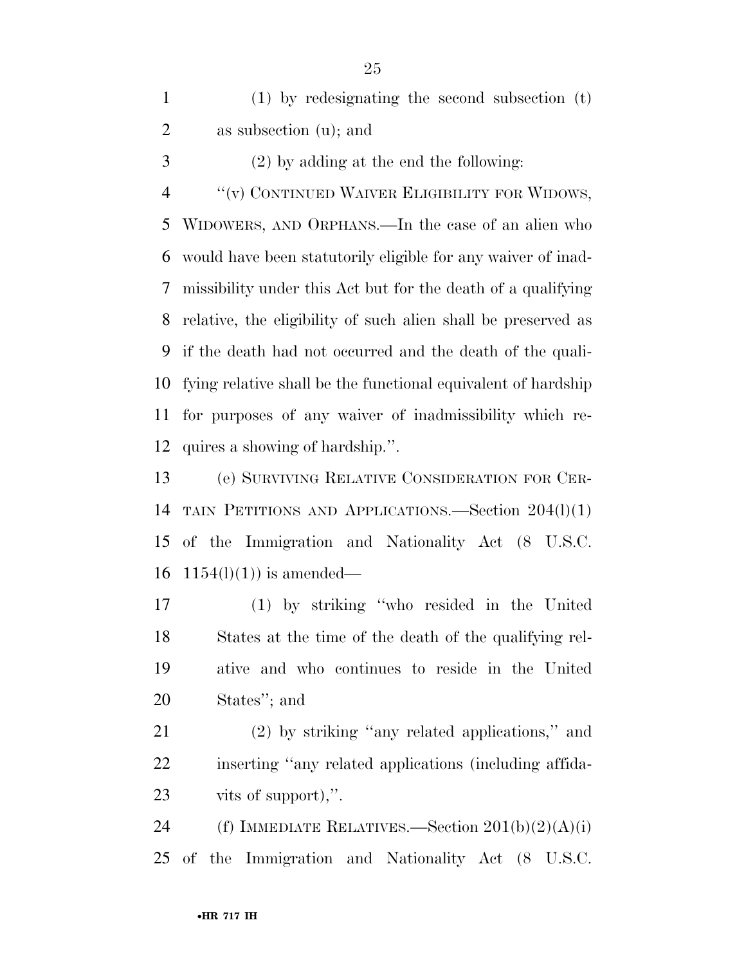| $(1)$ by redesignating the second subsection $(t)$ |
|----------------------------------------------------|
| as subsection $(u)$ ; and                          |

(2) by adding at the end the following:

''(v) CONTINUED WAIVER ELIGIBILITY FOR WIDOWS,

 WIDOWERS, AND ORPHANS.—In the case of an alien who would have been statutorily eligible for any waiver of inad- missibility under this Act but for the death of a qualifying relative, the eligibility of such alien shall be preserved as if the death had not occurred and the death of the quali- fying relative shall be the functional equivalent of hardship for purposes of any waiver of inadmissibility which re-quires a showing of hardship.''.

 (e) SURVIVING RELATIVE CONSIDERATION FOR CER- TAIN PETITIONS AND APPLICATIONS.—Section 204(l)(1) of the Immigration and Nationality Act (8 U.S.C.  $1154(l)(1)$  is amended—

 (1) by striking ''who resided in the United States at the time of the death of the qualifying rel- ative and who continues to reside in the United States''; and

 (2) by striking ''any related applications,'' and inserting ''any related applications (including affida-vits of support),''.

24 (f) IMMEDIATE RELATIVES.—Section  $201(b)(2)(A)(i)$ of the Immigration and Nationality Act (8 U.S.C.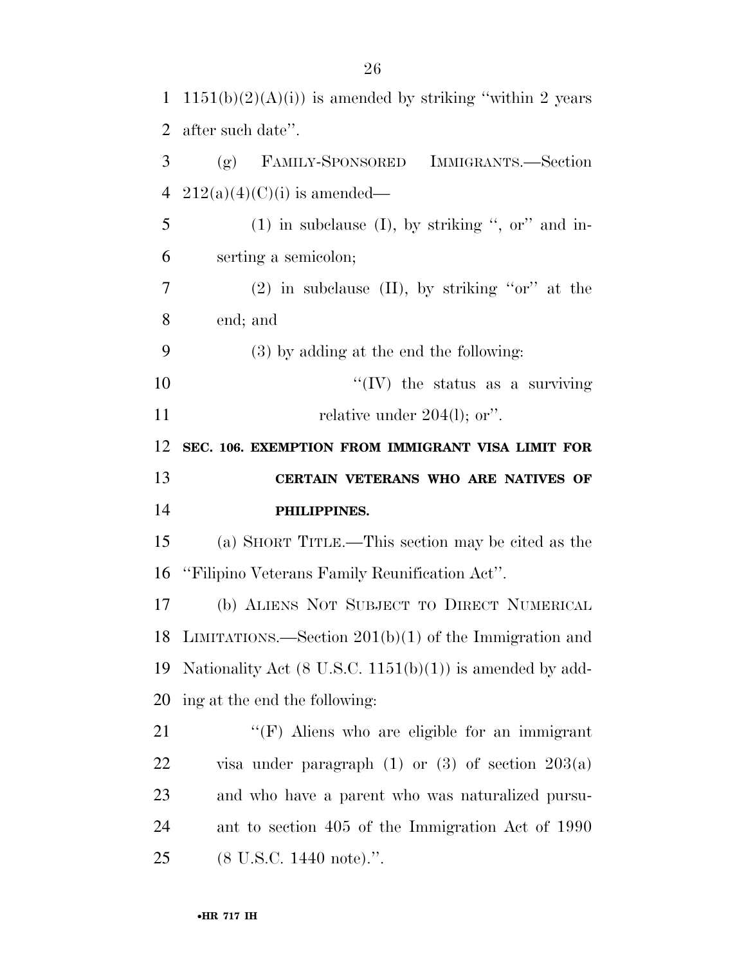| $\mathbf{1}$ | $1151(b)(2)(A)(i)$ is amended by striking "within 2 years"          |
|--------------|---------------------------------------------------------------------|
| 2            | after such date".                                                   |
| 3            | (g) FAMILY-SPONSORED IMMIGRANTS.—Section                            |
| 4            | $212(a)(4)(C)(i)$ is amended—                                       |
| 5            | $(1)$ in subclause $(I)$ , by striking ", or" and in-               |
| 6            | serting a semicolon;                                                |
| 7            | $(2)$ in subclause $(II)$ , by striking "or" at the                 |
| 8            | end; and                                                            |
| 9            | $(3)$ by adding at the end the following:                           |
| 10           | $\lq\lq$ (IV) the status as a surviving                             |
| 11           | relative under $204(l)$ ; or".                                      |
| 12           | SEC. 106. EXEMPTION FROM IMMIGRANT VISA LIMIT FOR                   |
|              |                                                                     |
| 13           | CERTAIN VETERANS WHO ARE NATIVES OF                                 |
| 14           | PHILIPPINES.                                                        |
| 15           | (a) SHORT TITLE.—This section may be cited as the                   |
| 16           | "Filipino Veterans Family Reunification Act".                       |
| 17           | (b) ALIENS NOT SUBJECT TO DIRECT NUMERICAL                          |
| 18           | LIMITATIONS.—Section $201(b)(1)$ of the Immigration and             |
| 19           | Nationality Act $(8 \text{ U.S.C. } 1151(b)(1))$ is amended by add- |
| 20           | ing at the end the following:                                       |
| 21           | " $(F)$ Aliens who are eligible for an immigrant                    |
| 22           | visa under paragraph $(1)$ or $(3)$ of section $203(a)$             |
| 23           | and who have a parent who was naturalized pursu-                    |
| 24           | ant to section 405 of the Immigration Act of 1990                   |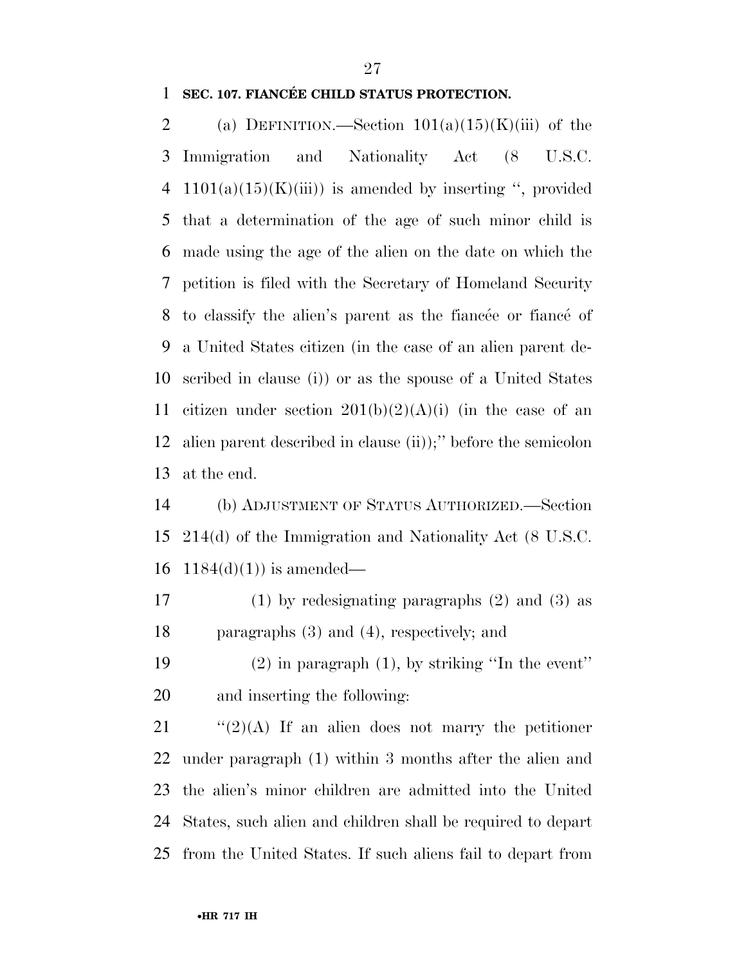### **SEC. 107. FIANCÉE CHILD STATUS PROTECTION.**

2 (a) DEFINITION.—Section  $101(a)(15)(K)(iii)$  of the Immigration and Nationality Act (8 U.S.C. 4 1101(a)(15)(K)(iii)) is amended by inserting ", provided that a determination of the age of such minor child is made using the age of the alien on the date on which the petition is filed with the Secretary of Homeland Security 8 to classify the alien's parent as the fiance or fiance of a United States citizen (in the case of an alien parent de- scribed in clause (i)) or as the spouse of a United States 11 citizen under section  $201(b)(2)(A)(i)$  (in the case of an alien parent described in clause (ii));'' before the semicolon at the end.

 (b) ADJUSTMENT OF STATUS AUTHORIZED.—Section 214(d) of the Immigration and Nationality Act (8 U.S.C. 16  $1184(d)(1)$  is amended—

 (1) by redesignating paragraphs (2) and (3) as paragraphs (3) and (4), respectively; and

 (2) in paragraph (1), by striking ''In the event'' and inserting the following:

 $\frac{1}{2}(2)(A)$  If an alien does not marry the petitioner under paragraph (1) within 3 months after the alien and the alien's minor children are admitted into the United States, such alien and children shall be required to depart from the United States. If such aliens fail to depart from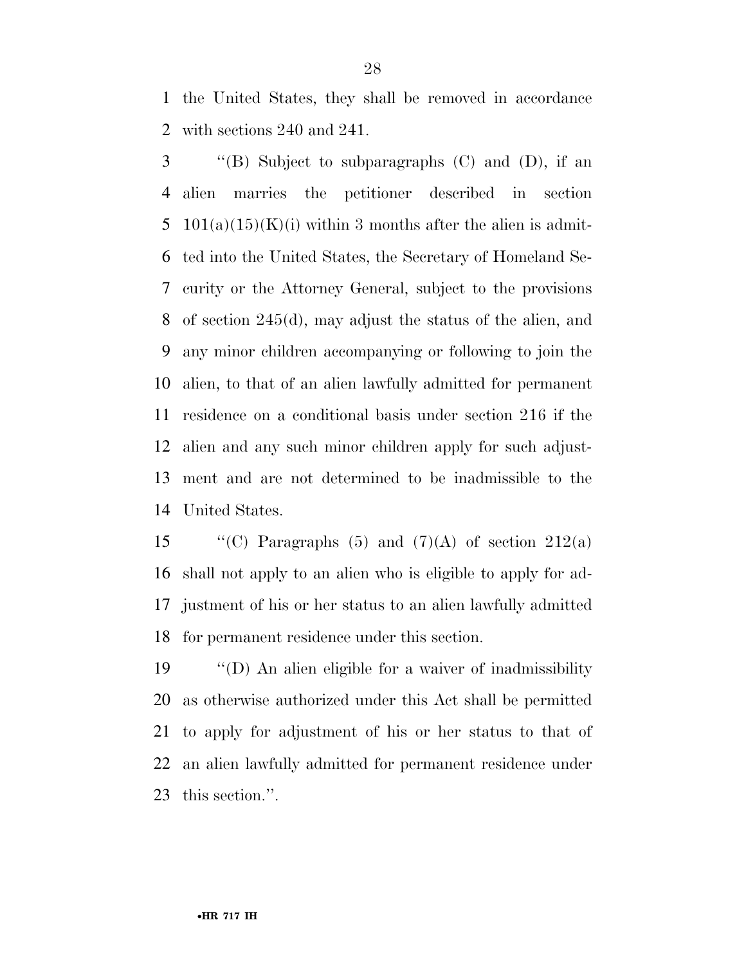the United States, they shall be removed in accordance with sections 240 and 241.

 ''(B) Subject to subparagraphs (C) and (D), if an alien marries the petitioner described in section 5 101(a)(15)(K)(i) within 3 months after the alien is admit- ted into the United States, the Secretary of Homeland Se- curity or the Attorney General, subject to the provisions of section 245(d), may adjust the status of the alien, and any minor children accompanying or following to join the alien, to that of an alien lawfully admitted for permanent residence on a conditional basis under section 216 if the alien and any such minor children apply for such adjust- ment and are not determined to be inadmissible to the United States.

 $\qquad$  "(C) Paragraphs (5) and (7)(A) of section 212(a) shall not apply to an alien who is eligible to apply for ad- justment of his or her status to an alien lawfully admitted for permanent residence under this section.

 ''(D) An alien eligible for a waiver of inadmissibility as otherwise authorized under this Act shall be permitted to apply for adjustment of his or her status to that of an alien lawfully admitted for permanent residence under this section.''.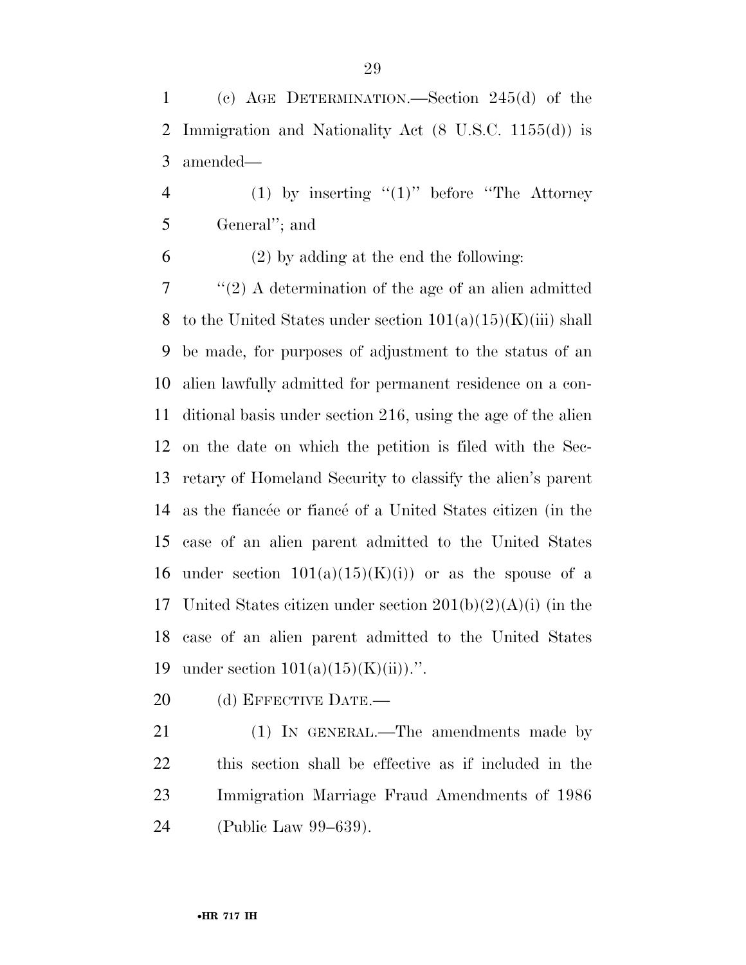(c) AGE DETERMINATION.—Section 245(d) of the Immigration and Nationality Act (8 U.S.C. 1155(d)) is amended—

4 (1) by inserting  $(1)$  before "The Attorney" General''; and

(2) by adding at the end the following:

 ''(2) A determination of the age of an alien admitted 8 to the United States under section  $101(a)(15)(K(iii)$  shall be made, for purposes of adjustment to the status of an alien lawfully admitted for permanent residence on a con- ditional basis under section 216, using the age of the alien on the date on which the petition is filed with the Sec- retary of Homeland Security to classify the alien's parent 14 as the fiance or fiance of a United States citizen (in the case of an alien parent admitted to the United States 16 under section  $101(a)(15)(K)(i)$  or as the spouse of a 17 United States citizen under section  $201(b)(2)(A)(i)$  (in the case of an alien parent admitted to the United States 19 under section  $101(a)(15)(K(ii))$ .".

20 (d) EFFECTIVE DATE.—

 (1) IN GENERAL.—The amendments made by this section shall be effective as if included in the Immigration Marriage Fraud Amendments of 1986 (Public Law 99–639).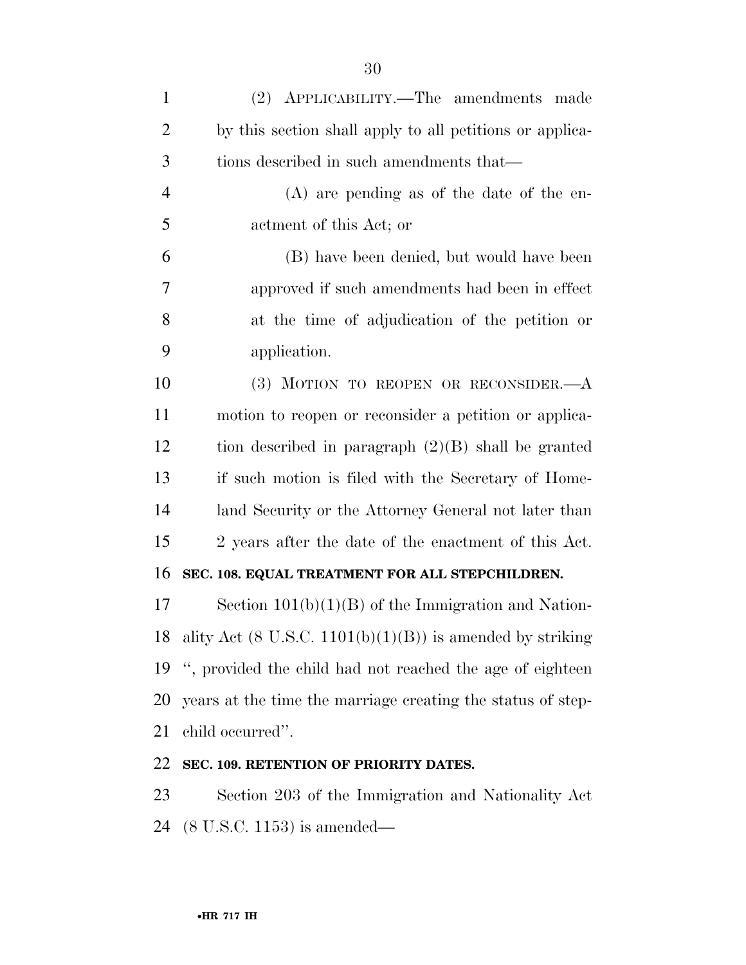| $\mathbf{1}$   | (2) APPLICABILITY.—The amendments made                                  |
|----------------|-------------------------------------------------------------------------|
| $\overline{2}$ | by this section shall apply to all petitions or applica-                |
| 3              | tions described in such amendments that—                                |
| $\overline{4}$ | $(A)$ are pending as of the date of the en-                             |
| 5              | actment of this Act; or                                                 |
| 6              | (B) have been denied, but would have been                               |
| 7              | approved if such amendments had been in effect                          |
| 8              | at the time of adjudication of the petition or                          |
| 9              | application.                                                            |
| 10             | (3) MOTION TO REOPEN OR RECONSIDER. $-A$                                |
| 11             | motion to reopen or reconsider a petition or applica-                   |
| 12             | tion described in paragraph $(2)(B)$ shall be granted                   |
| 13             | if such motion is filed with the Secretary of Home-                     |
| 14             | land Security or the Attorney General not later than                    |
| 15             | 2 years after the date of the enactment of this Act.                    |
| 16             | SEC. 108. EQUAL TREATMENT FOR ALL STEPCHILDREN.                         |
| 17             | Section $101(b)(1)(B)$ of the Immigration and Nation-                   |
|                | 18 ality Act $(8 \text{ U.S.C. } 1101(b)(1)(B))$ is amended by striking |
| 19             | ", provided the child had not reached the age of eighteen               |
| 20             | years at the time the marriage creating the status of step-             |
| 21             | child occurred".                                                        |
| 22             | SEC. 109. RETENTION OF PRIORITY DATES.                                  |

 Section 203 of the Immigration and Nationality Act (8 U.S.C. 1153) is amended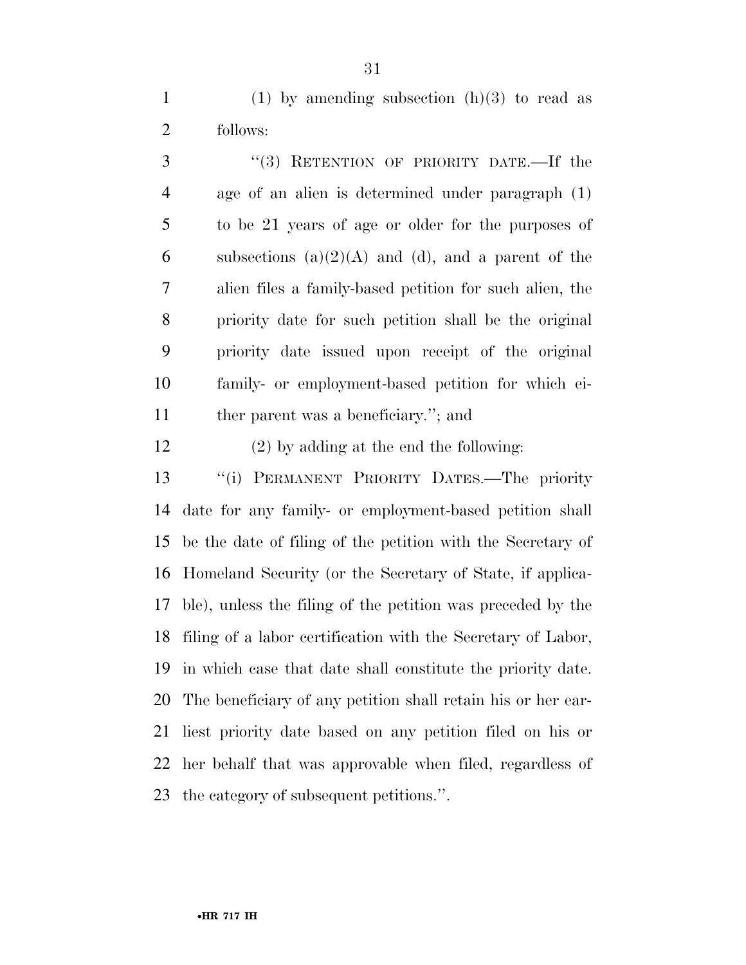1 (1) by amending subsection  $(h)(3)$  to read as follows:

3 "(3) RETENTION OF PRIORITY DATE.—If the age of an alien is determined under paragraph (1) to be 21 years of age or older for the purposes of 6 subsections  $(a)(2)(A)$  and  $(d)$ , and a parent of the alien files a family-based petition for such alien, the priority date for such petition shall be the original priority date issued upon receipt of the original family- or employment-based petition for which ei-ther parent was a beneficiary.''; and

(2) by adding at the end the following:

 ''(i) PERMANENT PRIORITY DATES.—The priority date for any family- or employment-based petition shall be the date of filing of the petition with the Secretary of Homeland Security (or the Secretary of State, if applica- ble), unless the filing of the petition was preceded by the filing of a labor certification with the Secretary of Labor, in which case that date shall constitute the priority date. The beneficiary of any petition shall retain his or her ear- liest priority date based on any petition filed on his or her behalf that was approvable when filed, regardless of the category of subsequent petitions.''.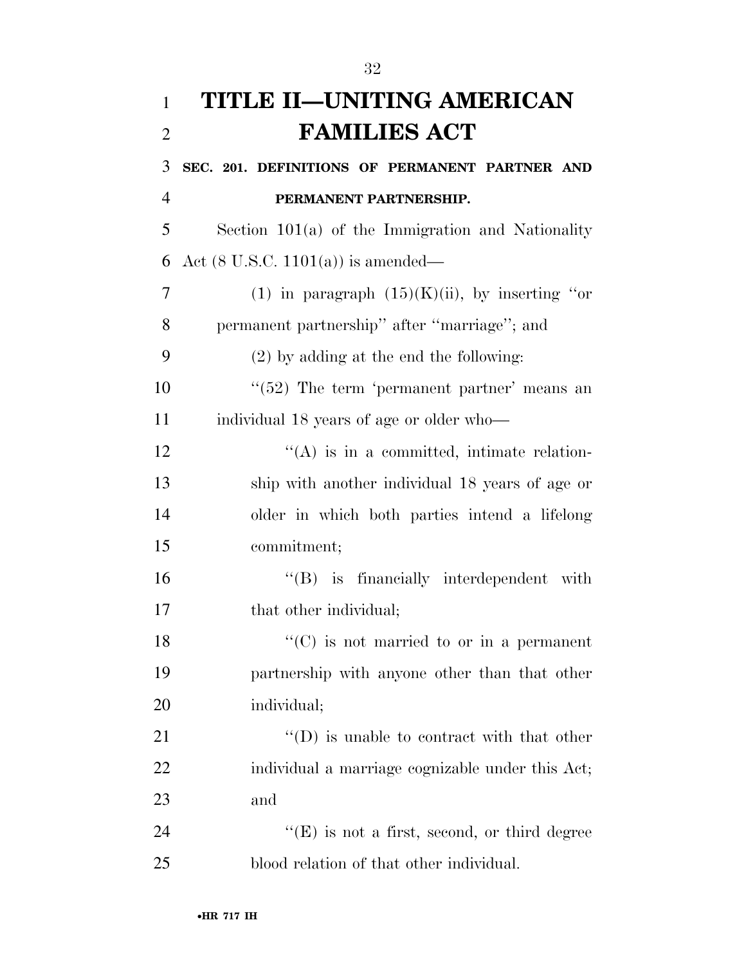| $\mathbf{1}$   | TITLE II—UNITING AMERICAN                           |
|----------------|-----------------------------------------------------|
| $\overline{2}$ | <b>FAMILIES ACT</b>                                 |
| 3              | SEC. 201. DEFINITIONS OF PERMANENT PARTNER AND      |
| $\overline{4}$ | PERMANENT PARTNERSHIP.                              |
| 5              | Section $101(a)$ of the Immigration and Nationality |
| 6              | Act $(8 \text{ U.S.C. } 1101(a))$ is amended—       |
| 7              | (1) in paragraph $(15)(K)(ii)$ , by inserting "or   |
| 8              | permanent partnership" after "marriage"; and        |
| 9              | $(2)$ by adding at the end the following:           |
| 10             | $\lq(52)$ The term 'permanent partner' means an     |
| 11             | individual 18 years of age or older who—            |
| 12             | "(A) is in a committed, intimate relation-          |
| 13             | ship with another individual 18 years of age or     |
| 14             | older in which both parties intend a lifelong       |
| 15             | commitment;                                         |
| 16             | $\lq\lq$ is financially interdependent with         |
| 17             | that other individual;                              |
| 18             | $\lq\lq$ (C) is not married to or in a permanent    |
| 19             | partnership with anyone other than that other       |
| 20             | individual;                                         |
| 21             | $\lq\lq$ (D) is unable to contract with that other  |
| 22             | individual a marriage cognizable under this Act;    |
| 23             | and                                                 |
| 24             | $``(E)$ is not a first, second, or third degree     |
| 25             | blood relation of that other individual.            |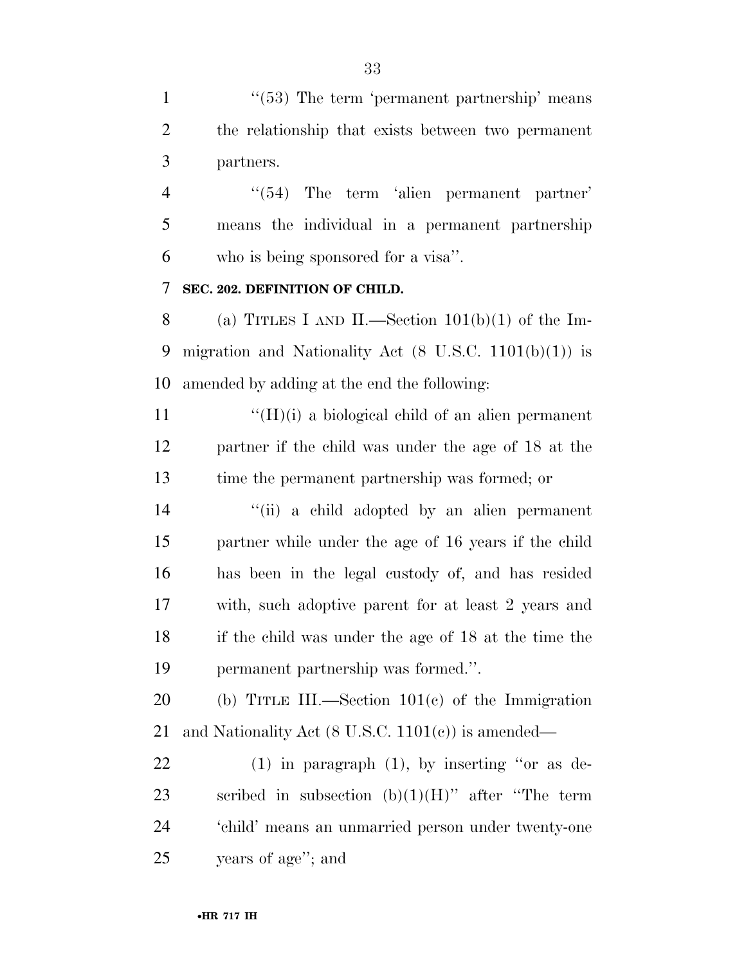1 ''(53) The term 'permanent partnership' means the relationship that exists between two permanent partners.

4 "(54) The term 'alien permanent partner' means the individual in a permanent partnership who is being sponsored for a visa''.

## **SEC. 202. DEFINITION OF CHILD.**

8 (a) TITLES I AND II.—Section  $101(b)(1)$  of the Im-9 migration and Nationality Act  $(8 \text{ U.S.C. } 1101(b)(1))$  is amended by adding at the end the following:

 $\mathcal{L}(H)(i)$  a biological child of an alien permanent partner if the child was under the age of 18 at the time the permanent partnership was formed; or

 ''(ii) a child adopted by an alien permanent partner while under the age of 16 years if the child has been in the legal custody of, and has resided with, such adoptive parent for at least 2 years and if the child was under the age of 18 at the time the permanent partnership was formed.''.

 (b) TITLE III.—Section 101(c) of the Immigration and Nationality Act (8 U.S.C. 1101(c)) is amended—

 (1) in paragraph (1), by inserting ''or as de-23 scribed in subsection  $(b)(1)(H)$ " after "The term 'child' means an unmarried person under twenty-one years of age''; and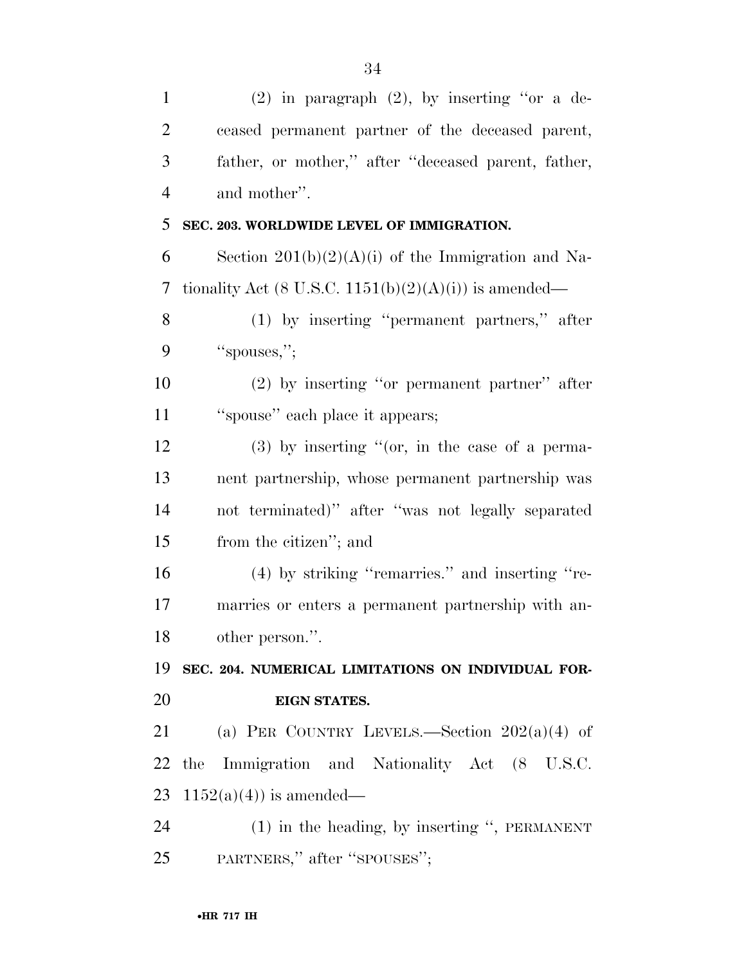| $\mathbf{1}$   | $(2)$ in paragraph $(2)$ , by inserting "or a de-     |
|----------------|-------------------------------------------------------|
| $\overline{2}$ | ceased permanent partner of the deceased parent,      |
| 3              | father, or mother," after "deceased parent, father,   |
| $\overline{4}$ | and mother".                                          |
| 5              | SEC. 203. WORLDWIDE LEVEL OF IMMIGRATION.             |
| 6              | Section $201(b)(2)(A)(i)$ of the Immigration and Na-  |
| 7              | tionality Act (8 U.S.C. 1151(b)(2)(A)(i)) is amended— |
| 8              | (1) by inserting "permanent partners," after          |
| 9              | "spouses,";                                           |
| 10             | $(2)$ by inserting "or permanent partner" after       |
| 11             | "spouse" each place it appears;                       |
| 12             | $(3)$ by inserting "(or, in the case of a perma-      |
| 13             | nent partnership, whose permanent partnership was     |
| 14             | not terminated)" after "was not legally separated     |
| 15             | from the citizen"; and                                |
| 16             | (4) by striking "remarries." and inserting "re-       |
| 17             | marries or enters a permanent partnership with an-    |
| 18             | other person.".                                       |
| 19             | SEC. 204. NUMERICAL LIMITATIONS ON INDIVIDUAL FOR-    |
| 20             | EIGN STATES.                                          |
| 21             | (a) PER COUNTRY LEVELS.—Section $202(a)(4)$ of        |
| 22             | the Immigration and Nationality Act (8 U.S.C.         |
| 23             | $1152(a)(4)$ is amended—                              |
| 24             | $(1)$ in the heading, by inserting ", PERMANENT       |
| 25             | PARTNERS," after "SPOUSES";                           |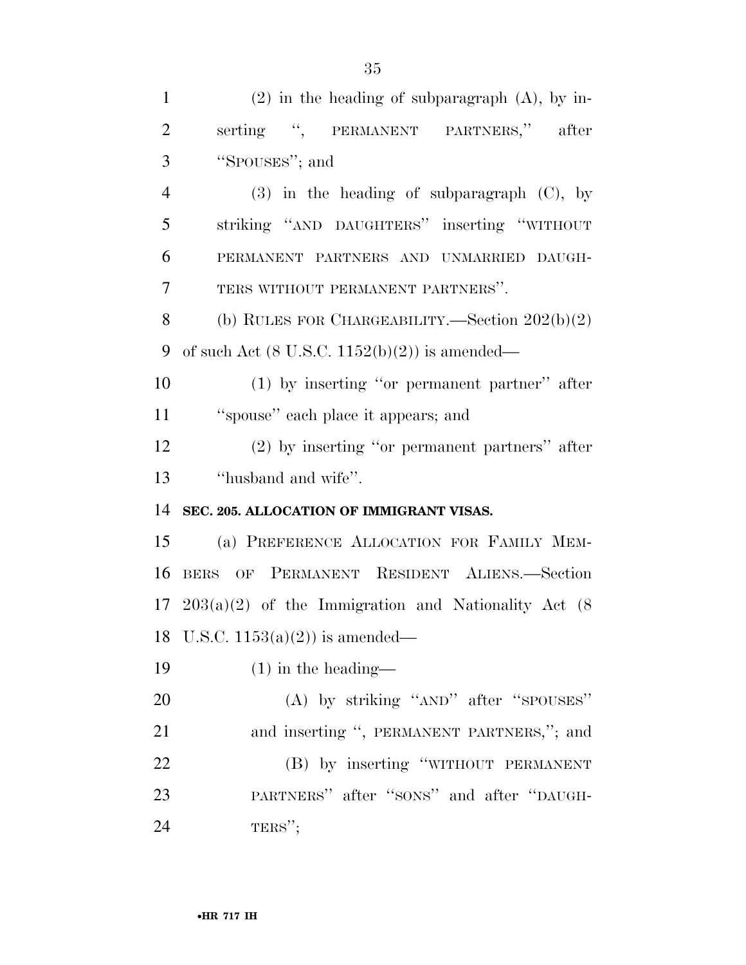| $\mathbf{1}$   | $(2)$ in the heading of subparagraph $(A)$ , by in-         |
|----------------|-------------------------------------------------------------|
| $\overline{2}$ | serting ", PERMANENT PARTNERS," after                       |
| 3              | "SPOUSES"; and                                              |
| $\overline{4}$ | $(3)$ in the heading of subparagraph $(C)$ , by             |
| 5              | striking "AND DAUGHTERS" inserting "WITHOUT                 |
| 6              | PERMANENT PARTNERS AND UNMARRIED DAUGH-                     |
| 7              | TERS WITHOUT PERMANENT PARTNERS".                           |
| 8              | (b) RULES FOR CHARGEABILITY.—Section $202(b)(2)$            |
| 9              | of such Act $(8 \text{ U.S.C. } 1152(b)(2))$ is amended—    |
| 10             | $(1)$ by inserting "or permanent partner" after             |
| 11             | "spouse" each place it appears; and                         |
| 12             | $(2)$ by inserting "or permanent partners" after            |
| 13             | "husband and wife".                                         |
| 14             | SEC. 205. ALLOCATION OF IMMIGRANT VISAS.                    |
| 15             | (a) PREFERENCE ALLOCATION FOR FAMILY MEM-                   |
| 16             | BERS OF PERMANENT RESIDENT ALIENS.-Section                  |
|                | 17 $203(a)(2)$ of the Immigration and Nationality Act $(8)$ |
|                | 18 U.S.C. $1153(a)(2)$ is amended—                          |
| 19             | $(1)$ in the heading—                                       |
| 20             | $(A)$ by striking " $AND$ " after " $SDUSES$ "              |
| 21             | and inserting ", PERMANENT PARTNERS,"; and                  |
| 22             | (B) by inserting "WITHOUT PERMANENT                         |
| 23             | PARTNERS" after "SONS" and after "DAUGH-                    |
| 24             | $TERS''$ ;                                                  |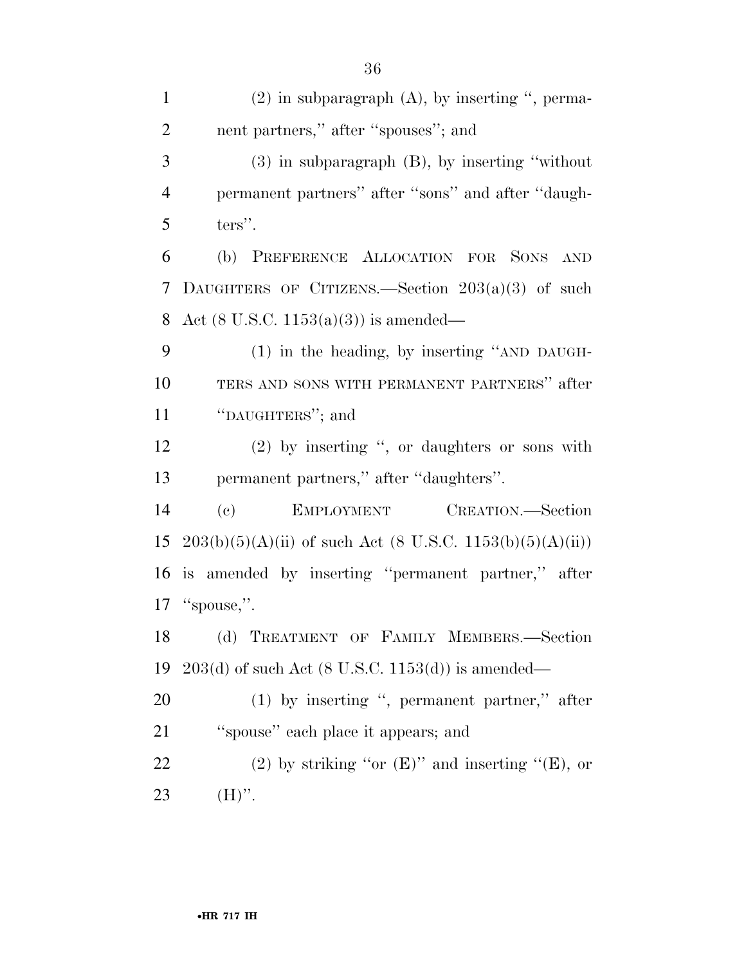(2) in subparagraph (A), by inserting '', perma- nent partners,'' after ''spouses''; and (3) in subparagraph (B), by inserting ''without permanent partners'' after ''sons'' and after ''daugh- ters". (b) PREFERENCE ALLOCATION FOR SONS AND DAUGHTERS OF CITIZENS.—Section 203(a)(3) of such Act (8 U.S.C. 1153(a)(3)) is amended— (1) in the heading, by inserting ''AND DAUGH- TERS AND SONS WITH PERMANENT PARTNERS'' after ''DAUGHTERS''; and (2) by inserting '', or daughters or sons with permanent partners,'' after ''daughters''. (c) EMPLOYMENT CREATION.—Section 15 203(b)(5)(A)(ii) of such Act (8 U.S.C. 1153(b)(5)(A)(ii)) is amended by inserting ''permanent partner,'' after ''spouse,''. (d) TREATMENT OF FAMILY MEMBERS.—Section 203(d) of such Act (8 U.S.C. 1153(d)) is amended— (1) by inserting '', permanent partner,'' after ''spouse'' each place it appears; and 22 (2) by striking "or  $(E)$ " and inserting " $(E)$ , or 23  $(H)$ ".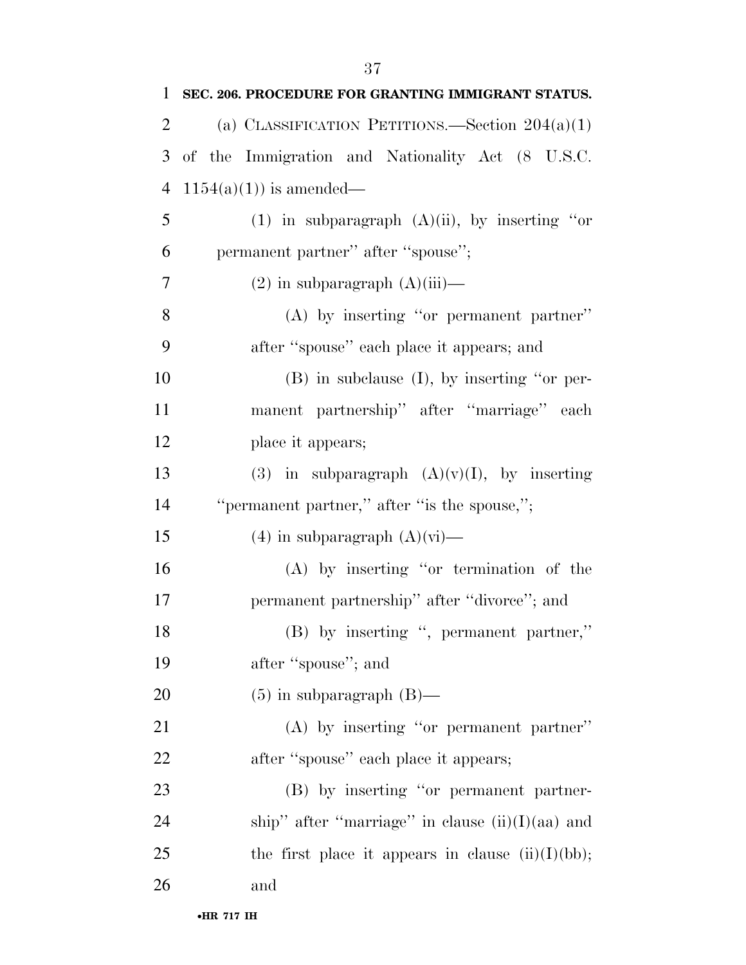| 1              | SEC. 206. PROCEDURE FOR GRANTING IMMIGRANT STATUS.   |
|----------------|------------------------------------------------------|
| $\overline{2}$ | (a) CLASSIFICATION PETITIONS.—Section $204(a)(1)$    |
| 3              | of the Immigration and Nationality Act (8 U.S.C.     |
| $\overline{4}$ | $1154(a)(1)$ is amended—                             |
| 5              | (1) in subparagraph $(A)(ii)$ , by inserting "or     |
| 6              | permanent partner" after "spouse";                   |
| 7              | $(2)$ in subparagraph $(A)(iii)$ —                   |
| 8              | $(A)$ by inserting "or permanent partner"            |
| 9              | after "spouse" each place it appears; and            |
| 10             | $(B)$ in subclause $(I)$ , by inserting "or per-     |
| 11             | manent partnership" after "marriage" each            |
| 12             | place it appears;                                    |
| 13             | (3) in subparagraph $(A)(v)(I)$ , by inserting       |
| 14             | "permanent partner," after "is the spouse,";         |
| 15             | $(4)$ in subparagraph $(A)(vi)$ —                    |
| 16             | $(A)$ by inserting "or termination of the            |
| 17             | permanent partnership" after "divorce"; and          |
| 18             | (B) by inserting ", permanent partner,"              |
| 19             | after "spouse"; and                                  |
| 20             | $(5)$ in subparagraph $(B)$ —                        |
| 21             | (A) by inserting "or permanent partner"              |
| 22             | after "spouse" each place it appears;                |
| 23             | (B) by inserting "or permanent partner-              |
| 24             | ship" after "marriage" in clause $(ii)(I)(aa)$ and   |
| 25             | the first place it appears in clause $(ii)(I)(bb)$ ; |
| 26             | and                                                  |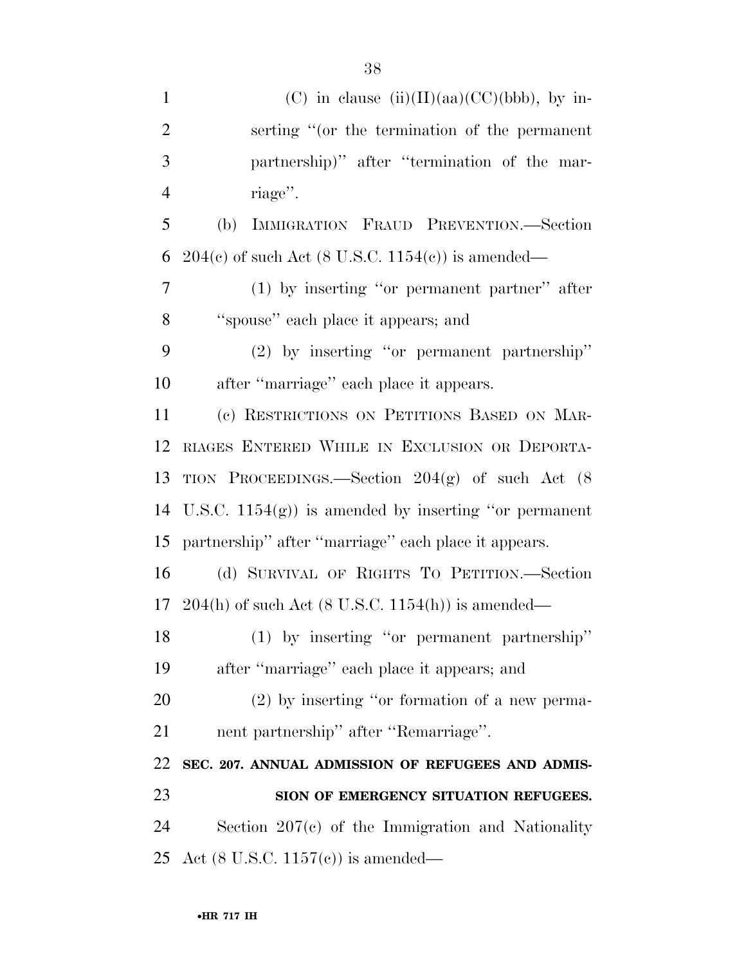| $\mathbf{1}$   | (C) in clause $(ii)(II)(aa)(CC)(bbb)$ , by in-                         |
|----------------|------------------------------------------------------------------------|
| $\overline{2}$ | serting "(or the termination of the permanent                          |
| 3              | partnership)" after "termination of the mar-                           |
| $\overline{4}$ | riage".                                                                |
| 5              | IMMIGRATION FRAUD PREVENTION.-Section<br>(b)                           |
| 6              | $204(c)$ of such Act (8 U.S.C. 1154(c)) is amended—                    |
| 7              | $(1)$ by inserting "or permanent partner" after                        |
| 8              | "spouse" each place it appears; and                                    |
| 9              | $(2)$ by inserting "or permanent partnership"                          |
| 10             | after "marriage" each place it appears.                                |
| 11             | (c) RESTRICTIONS ON PETITIONS BASED ON MAR-                            |
| 12             | RIAGES ENTERED WHILE IN EXCLUSION OR DEPORTA-                          |
| 13             | TION PROCEEDINGS.—Section $204(g)$ of such Act (8)                     |
| 14             | U.S.C. $1154(g)$ is amended by inserting "or permanent"                |
| 15             | partnership" after "marriage" each place it appears.                   |
| 16             | (d) SURVIVAL OF RIGHTS TO PETITION.—Section                            |
|                | 17 204(h) of such Act $(8 \text{ U.S.C. } 1154(\text{h}))$ is amended— |
| 18             | $(1)$ by inserting "or permanent partnership"                          |
| 19             | after "marriage" each place it appears; and                            |
| 20             | $(2)$ by inserting "or formation of a new perma-                       |
| 21             | nent partnership" after "Remarriage".                                  |
| 22             | SEC. 207. ANNUAL ADMISSION OF REFUGEES AND ADMIS-                      |
| 23             | SION OF EMERGENCY SITUATION REFUGEES.                                  |
| 24             | Section $207(c)$ of the Immigration and Nationality                    |
| 25             | Act (8 U.S.C. 1157 $(e)$ ) is amended—                                 |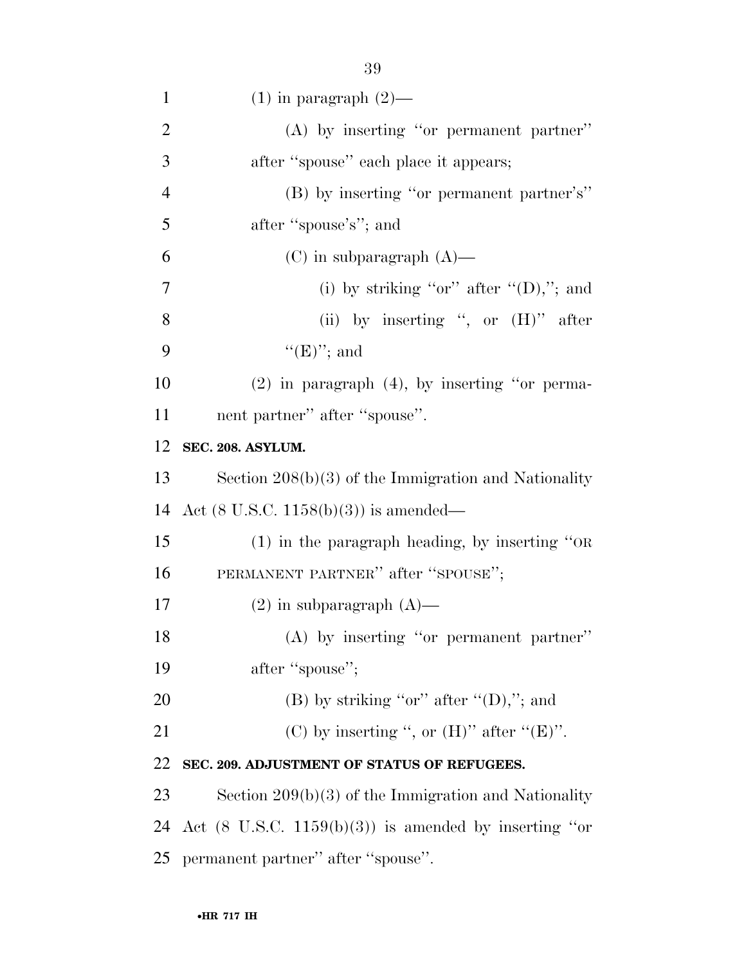| $\mathbf{1}$   | $(1)$ in paragraph $(2)$ —                                       |
|----------------|------------------------------------------------------------------|
| $\overline{2}$ | $(A)$ by inserting "or permanent partner"                        |
| 3              | after "spouse" each place it appears;                            |
| $\overline{4}$ | (B) by inserting "or permanent partner's"                        |
| 5              | after "spouse's"; and                                            |
| 6              | $(C)$ in subparagraph $(A)$ —                                    |
| $\overline{7}$ | (i) by striking "or" after " $(D)$ ,"; and                       |
| 8              | (ii) by inserting ", or $(H)$ " after                            |
| 9              | $\lq\lq(E)$ "; and                                               |
| 10             | $(2)$ in paragraph $(4)$ , by inserting "or perma-               |
| 11             | nent partner" after "spouse".                                    |
| 12             | SEC. 208. ASYLUM.                                                |
| 13             | Section $208(b)(3)$ of the Immigration and Nationality           |
| 14             | Act $(8 \text{ U.S.C. } 1158(b)(3))$ is amended—                 |
| 15             | $(1)$ in the paragraph heading, by inserting "OR                 |
| 16             | PERMANENT PARTNER" after "SPOUSE";                               |
| 17             | $(2)$ in subparagraph $(A)$ —                                    |
| 18             | (A) by inserting "or permanent partner"                          |
| 19             | after "spouse";                                                  |
| 20             | (B) by striking "or" after " $(D)$ ,"; and                       |
| 21             | (C) by inserting ", or $(H)$ " after " $(E)$ ".                  |
| 22             | SEC. 209. ADJUSTMENT OF STATUS OF REFUGEES.                      |
| 23             | Section $209(b)(3)$ of the Immigration and Nationality           |
| 24             | Act $(8 \text{ U.S.C. } 1159(b)(3))$ is amended by inserting "or |
| 25             | permanent partner" after "spouse".                               |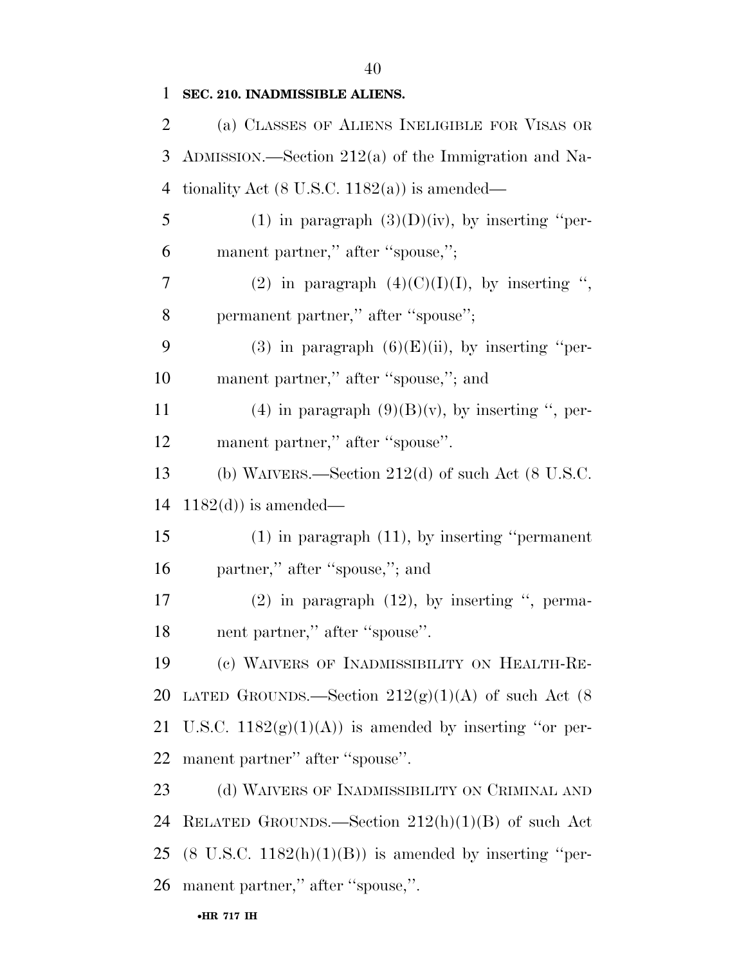2 (a) CLASSES OF ALIENS INELIGIBLE FOR VISAS OR

1 **SEC. 210. INADMISSIBLE ALIENS.** 

|    | 3 ADMISSION.—Section $212(a)$ of the Immigration and Na- |
|----|----------------------------------------------------------|
| 4  | tionality Act $(8 \text{ U.S.C. } 1182(a))$ is amended—  |
| 5  | (1) in paragraph $(3)(D)(iv)$ , by inserting "per-       |
| 6  | manent partner," after "spouse,";                        |
| 7  | (2) in paragraph $(4)(C)(I)(I)$ , by inserting ",        |
| 8  | permanent partner," after "spouse";                      |
| 9  | (3) in paragraph $(6)(E)(ii)$ , by inserting "per-       |
| 10 | manent partner," after "spouse,"; and                    |
| 11 | (4) in paragraph $(9)(B)(v)$ , by inserting ", per-      |
| 12 | manent partner," after "spouse".                         |
| 13 | (b) WAIVERS.—Section $212(d)$ of such Act (8 U.S.C.      |
| 14 | $1182(d)$ is amended—                                    |
| 15 | $(1)$ in paragraph $(11)$ , by inserting "permanent      |
| 16 | partner," after "spouse,"; and                           |
| 17 | $(2)$ in paragraph $(12)$ , by inserting ", perma-       |
| 18 | nent partner," after "spouse".                           |
| 19 | (c) WAIVERS OF INADMISSIBILITY ON HEALTH-RE-             |
|    | 20 LATED GROUNDS.—Section $212(g)(1)(A)$ of such Act (8) |
| 21 | U.S.C. $1182(g)(1)(A)$ is amended by inserting "or per-  |
| 22 | manent partner" after "spouse".                          |
| 23 | (d) WAIVERS OF INADMISSIBILITY ON CRIMINAL AND           |
| 24 | RELATED GROUNDS.—Section $212(h)(1)(B)$ of such Act      |

25 (8 U.S.C.  $1182(h)(1)(B)$ ) is amended by inserting "per-26 manent partner,'' after ''spouse,''.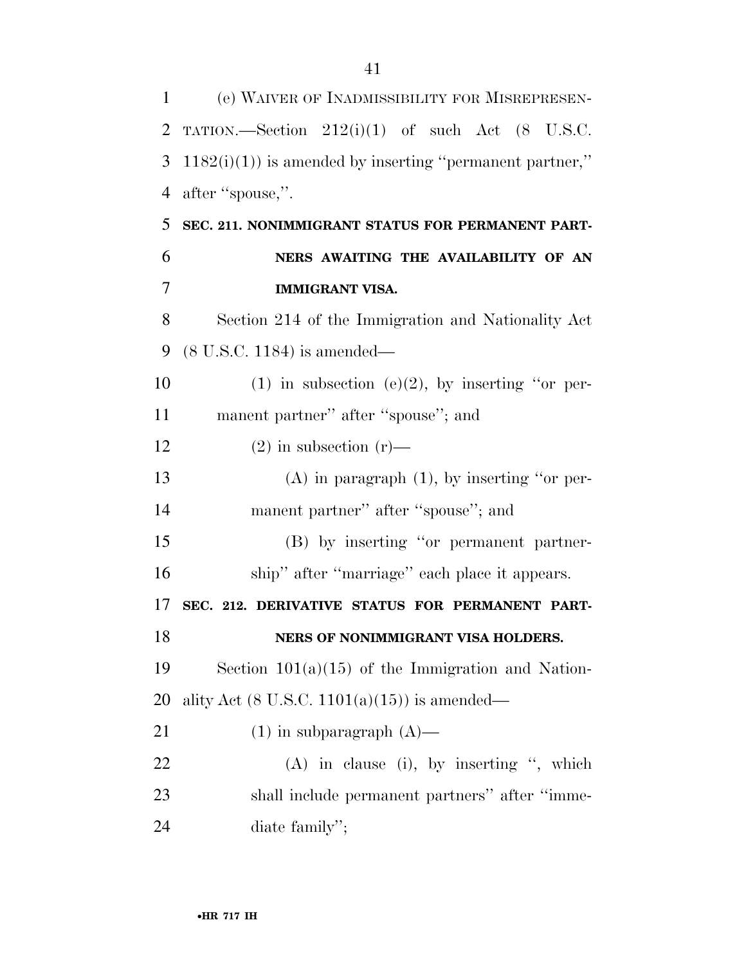| 1  | (e) WAIVER OF INADMISSIBILITY FOR MISREPRESEN-               |
|----|--------------------------------------------------------------|
| 2  | TATION.—Section $212(i)(1)$ of such Act $(8 \text{ U.S.C.})$ |
| 3  | $1182(i)(1)$ is amended by inserting "permanent partner,"    |
| 4  | after "spouse,".                                             |
| 5  | SEC. 211. NONIMMIGRANT STATUS FOR PERMANENT PART-            |
| 6  | NERS AWAITING THE AVAILABILITY OF AN                         |
| 7  | <b>IMMIGRANT VISA.</b>                                       |
| 8  | Section 214 of the Immigration and Nationality Act           |
| 9  | $(8 \text{ U.S.C. } 1184)$ is amended—                       |
| 10 | $(1)$ in subsection $(e)(2)$ , by inserting "or per-         |
| 11 | manent partner" after "spouse"; and                          |
| 12 | $(2)$ in subsection $(r)$ —                                  |
| 13 | $(A)$ in paragraph $(1)$ , by inserting "or per-             |
| 14 | manent partner" after "spouse"; and                          |
| 15 | (B) by inserting "or permanent partner-                      |
| 16 | ship" after "marriage" each place it appears.                |
| 17 | SEC. 212. DERIVATIVE STATUS FOR PERMANENT PART-              |
| 18 | NERS OF NONIMMIGRANT VISA HOLDERS.                           |
| 19 | Section $101(a)(15)$ of the Immigration and Nation-          |
| 20 | ality Act $(8 \text{ U.S.C. } 1101(a)(15))$ is amended—      |
| 21 | $(1)$ in subparagraph $(A)$ —                                |
| 22 | $(A)$ in clause (i), by inserting ", which                   |
| 23 | shall include permanent partners" after "imme-               |
| 24 | diate family";                                               |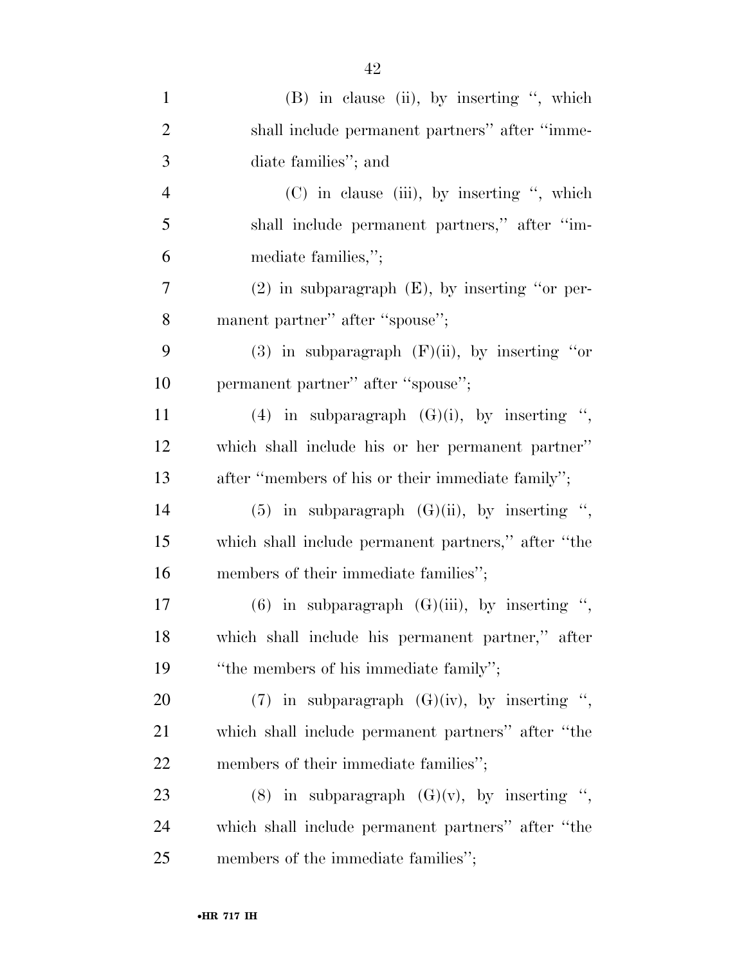| $\mathbf{1}$   | (B) in clause (ii), by inserting ", which           |
|----------------|-----------------------------------------------------|
| $\overline{2}$ | shall include permanent partners" after "imme-      |
| 3              | diate families"; and                                |
| $\overline{4}$ | $(C)$ in clause (iii), by inserting ", which        |
| 5              | shall include permanent partners," after "im-       |
| 6              | mediate families,";                                 |
| 7              | $(2)$ in subparagraph $(E)$ , by inserting "or per- |
| 8              | manent partner" after "spouse";                     |
| 9              | (3) in subparagraph $(F)(ii)$ , by inserting "or    |
| 10             | permanent partner" after "spouse";                  |
| 11             | (4) in subparagraph $(G)(i)$ , by inserting ",      |
| 12             | which shall include his or her permanent partner"   |
| 13             | after "members of his or their immediate family";   |
| 14             | (5) in subparagraph $(G)(ii)$ , by inserting ",     |
| 15             | which shall include permanent partners," after "the |
| 16             | members of their immediate families";               |
| 17             | $(6)$ in subparagraph $(G)(iii)$ , by inserting ",  |
| 18             | which shall include his permanent partner," after   |
| 19             | "the members of his immediate family";              |
| 20             | (7) in subparagraph $(G)(iv)$ , by inserting ",     |
| 21             | which shall include permanent partners" after "the  |
| 22             | members of their immediate families";               |
| 23             | (8) in subparagraph $(G)(v)$ , by inserting ",      |
| 24             | which shall include permanent partners" after "the  |
| 25             | members of the immediate families";                 |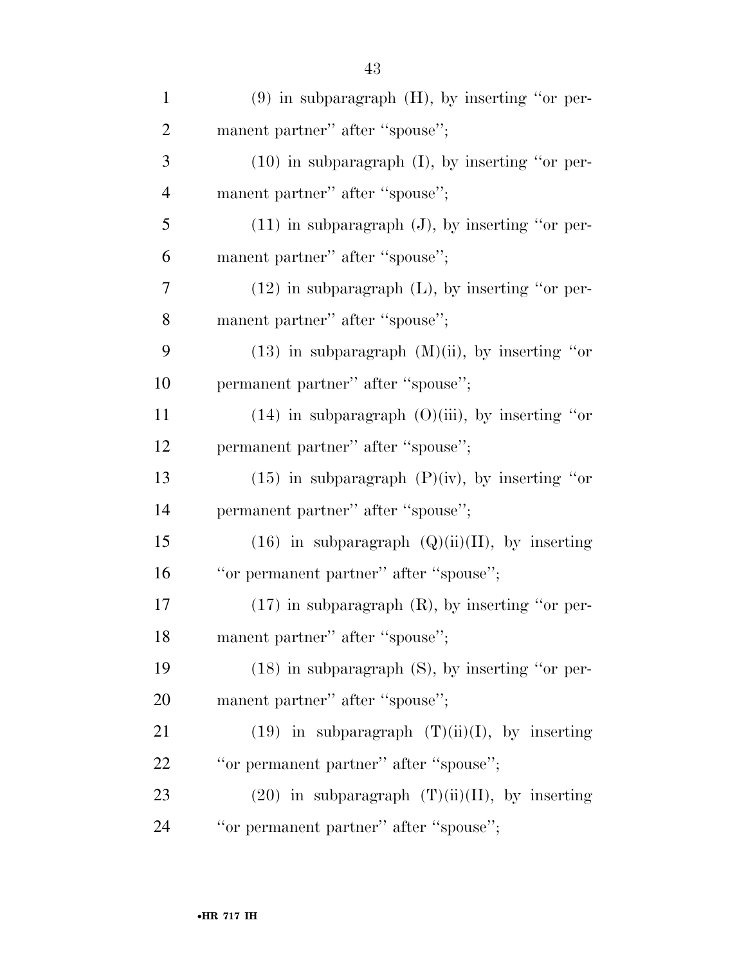| $\mathbf{1}$   | $(9)$ in subparagraph $(H)$ , by inserting "or per-  |
|----------------|------------------------------------------------------|
| $\overline{2}$ | manent partner" after "spouse";                      |
| 3              | $(10)$ in subparagraph $(I)$ , by inserting "or per- |
| 4              | manent partner" after "spouse";                      |
| 5              | $(11)$ in subparagraph $(J)$ , by inserting "or per- |
| 6              | manent partner" after "spouse";                      |
| 7              | $(12)$ in subparagraph $(L)$ , by inserting "or per- |
| 8              | manent partner" after "spouse";                      |
| 9              | $(13)$ in subparagraph $(M)(ii)$ , by inserting "or  |
| 10             | permanent partner" after "spouse";                   |
| 11             | $(14)$ in subparagraph $(0)(iii)$ , by inserting "or |
| 12             | permanent partner" after "spouse";                   |
| 13             | $(15)$ in subparagraph $(P)(iv)$ , by inserting "or  |
| 14             | permanent partner" after "spouse";                   |
| 15             | $(16)$ in subparagraph $(Q)(ii)(II)$ , by inserting  |
| 16             | "or permanent partner" after "spouse";               |
| 17             | $(17)$ in subparagraph $(R)$ , by inserting "or per- |
| 18             | manent partner" after "spouse";                      |
| 19             | $(18)$ in subparagraph $(S)$ , by inserting "or per- |
| 20             | manent partner" after "spouse";                      |
| 21             | $(19)$ in subparagraph $(T)(ii)(I)$ , by inserting   |
| 22             | "or permanent partner" after "spouse";               |
| 23             | $(20)$ in subparagraph $(T)(ii)(II)$ , by inserting  |
| 24             | "or permanent partner" after "spouse";               |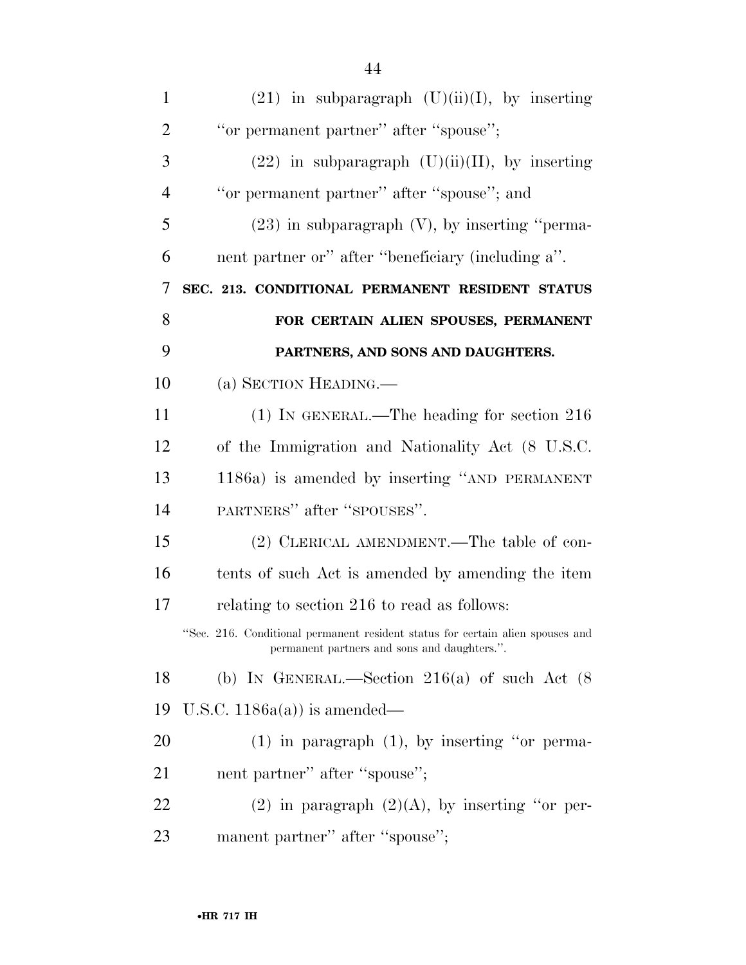| $\mathbf{1}$   | $(21)$ in subparagraph $(U)(ii)(I)$ , by inserting                                                                             |
|----------------|--------------------------------------------------------------------------------------------------------------------------------|
| $\overline{2}$ | "or permanent partner" after "spouse";                                                                                         |
| 3              | $(22)$ in subparagraph $(U)(ii)(II)$ , by inserting                                                                            |
| $\overline{4}$ | "or permanent partner" after "spouse"; and                                                                                     |
| 5              | $(23)$ in subparagraph $(V)$ , by inserting "perma-                                                                            |
| 6              | nent partner or" after "beneficiary (including a".                                                                             |
| 7              | SEC. 213. CONDITIONAL PERMANENT RESIDENT STATUS                                                                                |
| 8              | FOR CERTAIN ALIEN SPOUSES, PERMANENT                                                                                           |
| 9              | PARTNERS, AND SONS AND DAUGHTERS.                                                                                              |
| 10             | (a) SECTION HEADING.—                                                                                                          |
| 11             | $(1)$ IN GENERAL.—The heading for section 216                                                                                  |
| 12             | of the Immigration and Nationality Act (8 U.S.C.                                                                               |
| 13             | 1186a) is amended by inserting "AND PERMANENT                                                                                  |
| 14             | PARTNERS" after "SPOUSES".                                                                                                     |
| 15             | (2) CLERICAL AMENDMENT.—The table of con-                                                                                      |
| 16             | tents of such Act is amended by amending the item                                                                              |
| 17             | relating to section 216 to read as follows:                                                                                    |
|                | "Sec. 216. Conditional permanent resident status for certain alien spouses and<br>permanent partners and sons and daughters.". |
| 18             | (b) IN GENERAL.—Section 216(a) of such Act $(8)$                                                                               |
| 19             | U.S.C. $1186a(a)$ is amended—                                                                                                  |
| 20             | $(1)$ in paragraph $(1)$ , by inserting "or perma-                                                                             |
| 21             | nent partner" after "spouse";                                                                                                  |
| 22             | (2) in paragraph $(2)(A)$ , by inserting "or per-                                                                              |
| 23             | manent partner" after "spouse";                                                                                                |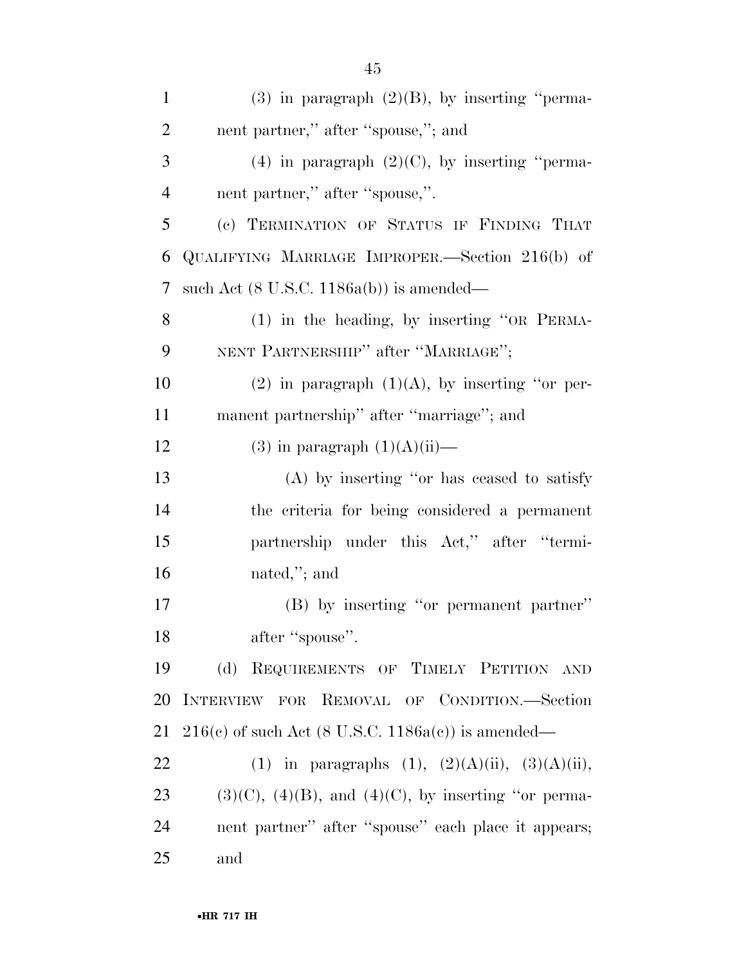| $\mathbf{1}$   | $(3)$ in paragraph $(2)(B)$ , by inserting "perma-           |
|----------------|--------------------------------------------------------------|
| $\overline{2}$ | nent partner," after "spouse,"; and                          |
| 3              | (4) in paragraph $(2)(C)$ , by inserting "perma-             |
| $\overline{4}$ | nent partner," after "spouse,".                              |
| 5              | (c) TERMINATION OF STATUS IF FINDING THAT                    |
| 6              | QUALIFYING MARRIAGE IMPROPER.—Section 216(b) of              |
| 7              | such Act $(8 \text{ U.S.C. } 1186a(b))$ is amended—          |
| 8              | $(1)$ in the heading, by inserting "OR PERMA-                |
| 9              | NENT PARTNERSHIP" after "MARRIAGE";                          |
| 10             | (2) in paragraph $(1)(A)$ , by inserting "or per-            |
| 11             | manent partnership" after "marriage"; and                    |
| 12             | $(3)$ in paragraph $(1)(A)(ii)$ —                            |
| 13             | $(A)$ by inserting "or has ceased to satisfy                 |
| 14             | the criteria for being considered a permanent                |
| 15             | partnership under this Act," after "termi-                   |
| 16             | nated,"; and                                                 |
| 17             | (B) by inserting "or permanent partner"                      |
| 18             | after "spouse".                                              |
| 19             | (d) REQUIREMENTS OF TIMELY PETITION AND                      |
| 20             | INTERVIEW FOR REMOVAL OF CONDITION.-Section                  |
| 21             | $216(c)$ of such Act (8 U.S.C. 1186a(c)) is amended—         |
| 22             | (1) in paragraphs (1), $(2)(A)(ii)$ , $(3)(A)(ii)$ ,         |
| 23             | $(3)(C)$ , $(4)(B)$ , and $(4)(C)$ , by inserting "or perma- |
| 24             | nent partner" after "spouse" each place it appears;          |
| 25             | and                                                          |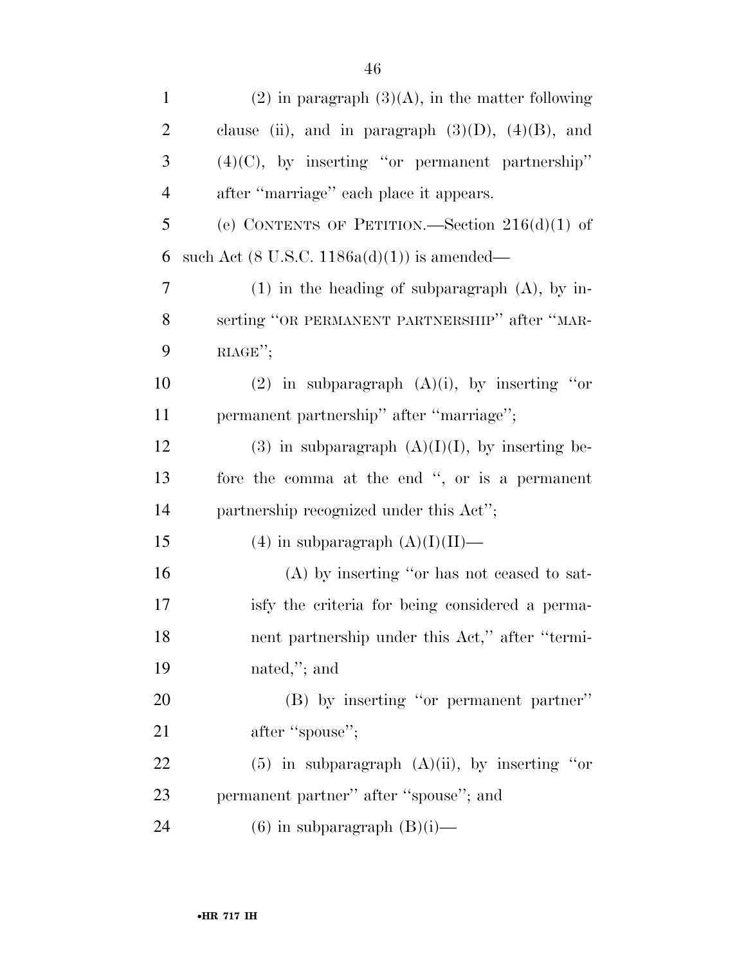| $\mathbf{1}$   | $(2)$ in paragraph $(3)(A)$ , in the matter following   |
|----------------|---------------------------------------------------------|
| $\overline{2}$ | clause (ii), and in paragraph $(3)(D)$ , $(4)(B)$ , and |
| 3              | $(4)(C)$ , by inserting "or permanent partnership"      |
| $\overline{4}$ | after "marriage" each place it appears.                 |
| 5              | (e) CONTENTS OF PETITION.—Section $216(d)(1)$ of        |
| 6              | such Act $(8 \text{ U.S.C. } 1186a(d)(1))$ is amended—  |
| 7              | $(1)$ in the heading of subparagraph $(A)$ , by in-     |
| 8              | serting "OR PERMANENT PARTNERSHIP" after "MAR-          |
| 9              | RIAGE";                                                 |
| 10             | (2) in subparagraph $(A)(i)$ , by inserting "or         |
| 11             | permanent partnership" after "marriage";                |
| 12             | (3) in subparagraph $(A)(I)(I)$ , by inserting be-      |
| 13             | fore the comma at the end ", or is a permanent          |
| 14             | partnership recognized under this Act";                 |
| 15             | $(4)$ in subparagraph $(A)(I)(II)$ —                    |
| 16             | $(A)$ by inserting "or has not ceased to sat-           |
| 17             | isfy the criteria for being considered a perma-         |
| 18             | nent partnership under this Act," after "termi-         |
| 19             | nated,"; and                                            |
| 20             | (B) by inserting "or permanent partner"                 |
| 21             | after "spouse";                                         |
| 22             | $(5)$ in subparagraph $(A)(ii)$ , by inserting "or      |
| 23             | permanent partner" after "spouse"; and                  |
| 24             | $(6)$ in subparagraph $(B)(i)$ —                        |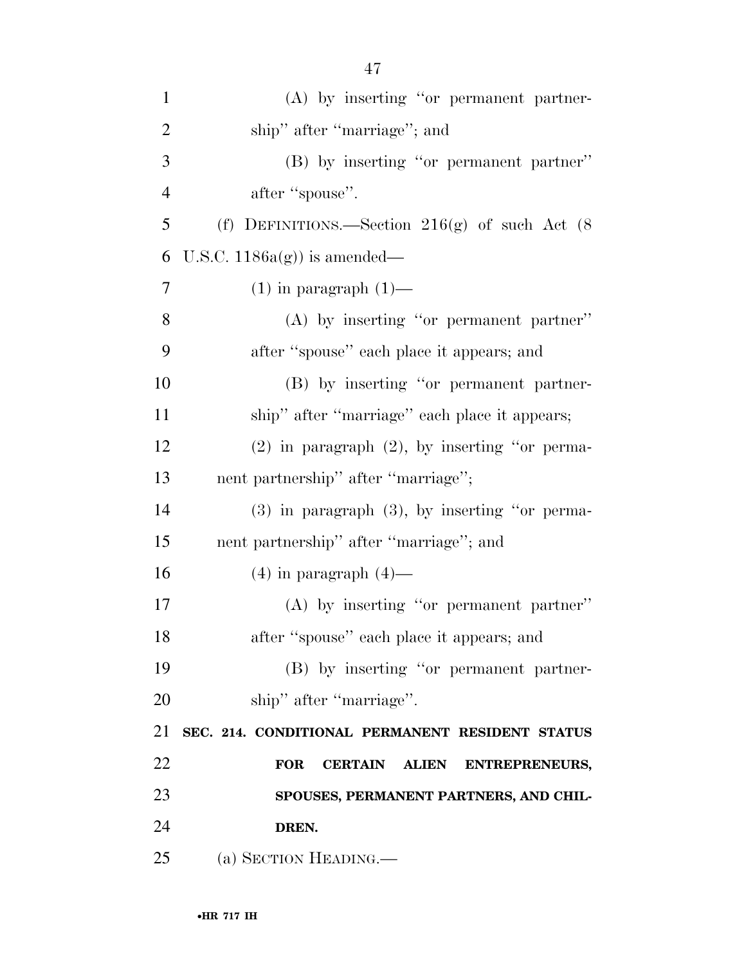| $\mathbf{1}$   | (A) by inserting "or permanent partner-              |
|----------------|------------------------------------------------------|
| $\overline{2}$ | ship" after "marriage"; and                          |
| 3              | (B) by inserting "or permanent partner"              |
| $\overline{4}$ | after "spouse".                                      |
| 5              | (f) DEFINITIONS.—Section $216(g)$ of such Act (8)    |
| 6              | U.S.C. $1186a(g)$ is amended—                        |
| $\tau$         | $(1)$ in paragraph $(1)$ —                           |
| 8              | $(A)$ by inserting "or permanent partner"            |
| 9              | after "spouse" each place it appears; and            |
| 10             | (B) by inserting "or permanent partner-              |
| 11             | ship" after "marriage" each place it appears;        |
| 12             | $(2)$ in paragraph $(2)$ , by inserting "or perma-   |
| 13             | nent partnership" after "marriage";                  |
| 14             | $(3)$ in paragraph $(3)$ , by inserting "or perma-   |
| 15             | nent partnership" after "marriage"; and              |
| 16             | $(4)$ in paragraph $(4)$ —                           |
| 17             | $(A)$ by inserting "or permanent partner"            |
| 18             | after "spouse" each place it appears; and            |
| 19             | (B) by inserting "or permanent partner-              |
| 20             | ship" after "marriage".                              |
| 21             | SEC. 214. CONDITIONAL PERMANENT RESIDENT STATUS      |
| 22             | <b>FOR</b><br><b>CERTAIN</b><br>ALIEN ENTREPRENEURS, |
| 23             | SPOUSES, PERMANENT PARTNERS, AND CHIL-               |
| 24             | DREN.                                                |
| 25             | (a) SECTION HEADING.—                                |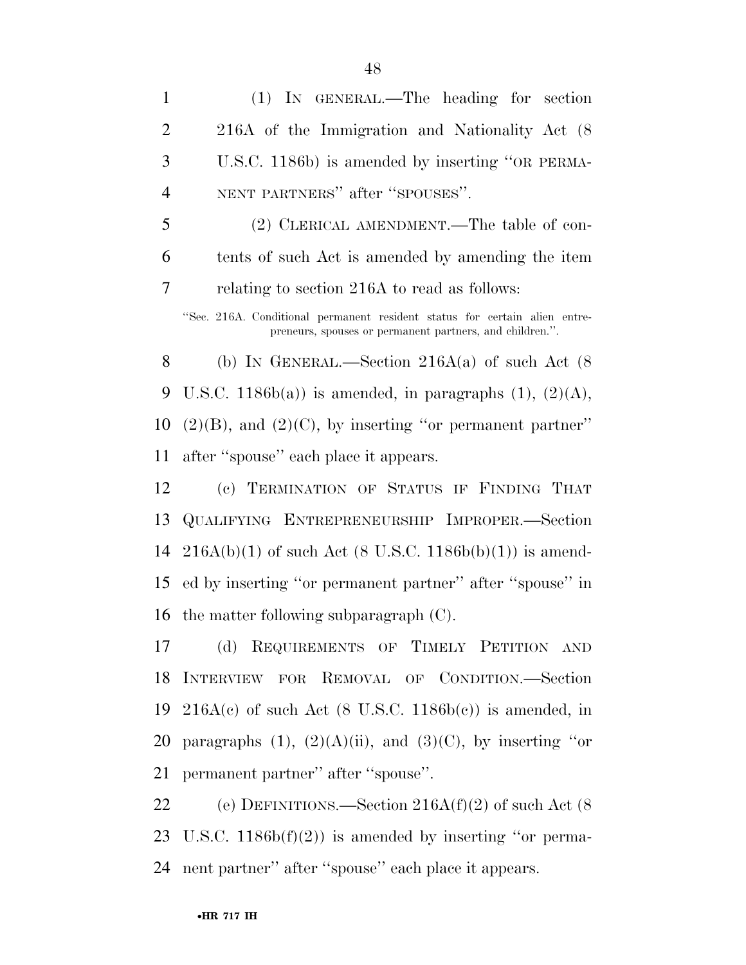(1) IN GENERAL.—The heading for section 216A of the Immigration and Nationality Act (8 U.S.C. 1186b) is amended by inserting ''OR PERMA- NENT PARTNERS'' after ''SPOUSES''. (2) CLERICAL AMENDMENT.—The table of con- tents of such Act is amended by amending the item relating to section 216A to read as follows: ''Sec. 216A. Conditional permanent resident status for certain alien entrepreneurs, spouses or permanent partners, and children.''. 8 (b) IN GENERAL.—Section  $216A(a)$  of such Act (8) 9 U.S.C. 1186b(a)) is amended, in paragraphs  $(1)$ ,  $(2)(A)$ ,  $(2)(B)$ , and  $(2)(C)$ , by inserting "or permanent partner" after ''spouse'' each place it appears. (c) TERMINATION OF STATUS IF FINDING THAT

 QUALIFYING ENTREPRENEURSHIP IMPROPER.—Section 14 216A(b)(1) of such Act (8 U.S.C. 1186b(b)(1)) is amend- ed by inserting ''or permanent partner'' after ''spouse'' in the matter following subparagraph (C).

 (d) REQUIREMENTS OF TIMELY PETITION AND INTERVIEW FOR REMOVAL OF CONDITION.—Section 19 216A(c) of such Act  $(8 \text{ U.S.C. } 1186b(c))$  is amended, in 20 paragraphs  $(1)$ ,  $(2)(A)(ii)$ , and  $(3)(C)$ , by inserting "or permanent partner'' after ''spouse''.

 (e) DEFINITIONS.—Section 216A(f)(2) of such Act (8 U.S.C. 1186b(f)(2)) is amended by inserting ''or perma-nent partner'' after ''spouse'' each place it appears.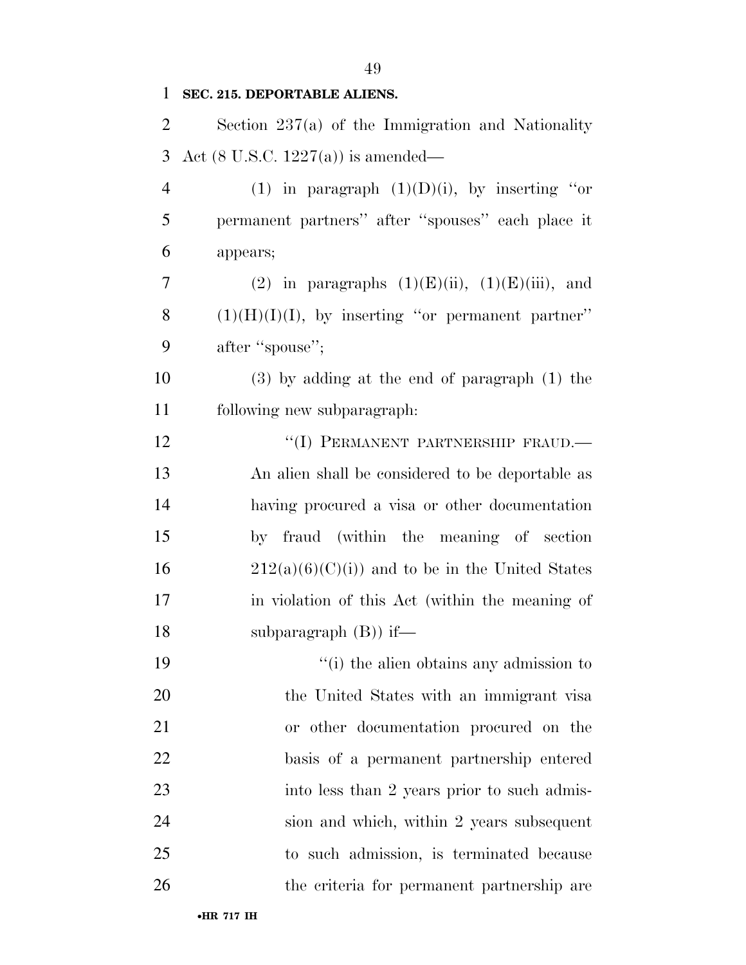# Section 237(a) of the Immigration and Nationality

**SEC. 215. DEPORTABLE ALIENS.** 

Act (8 U.S.C. 1227(a)) is amended—

4 (1) in paragraph  $(1)(D)(i)$ , by inserting "or permanent partners'' after ''spouses'' each place it appears;

7 (2) in paragraphs  $(1)(E)(ii)$ ,  $(1)(E)(iii)$ , and 8  $(1)(H)(I)(I)$ , by inserting "or permanent partner" 9 after "spouse";

 (3) by adding at the end of paragraph (1) the following new subparagraph:

12 "(I) PERMANENT PARTNERSHIP FRAUD.— An alien shall be considered to be deportable as having procured a visa or other documentation by fraud (within the meaning of section 16 212(a)(6)(C)(i)) and to be in the United States in violation of this Act (within the meaning of 18 subparagraph (B) if—

 $\frac{1}{10}$  the alien obtains any admission to the United States with an immigrant visa or other documentation procured on the basis of a permanent partnership entered 23 into less than 2 years prior to such admis- sion and which, within 2 years subsequent to such admission, is terminated because the criteria for permanent partnership are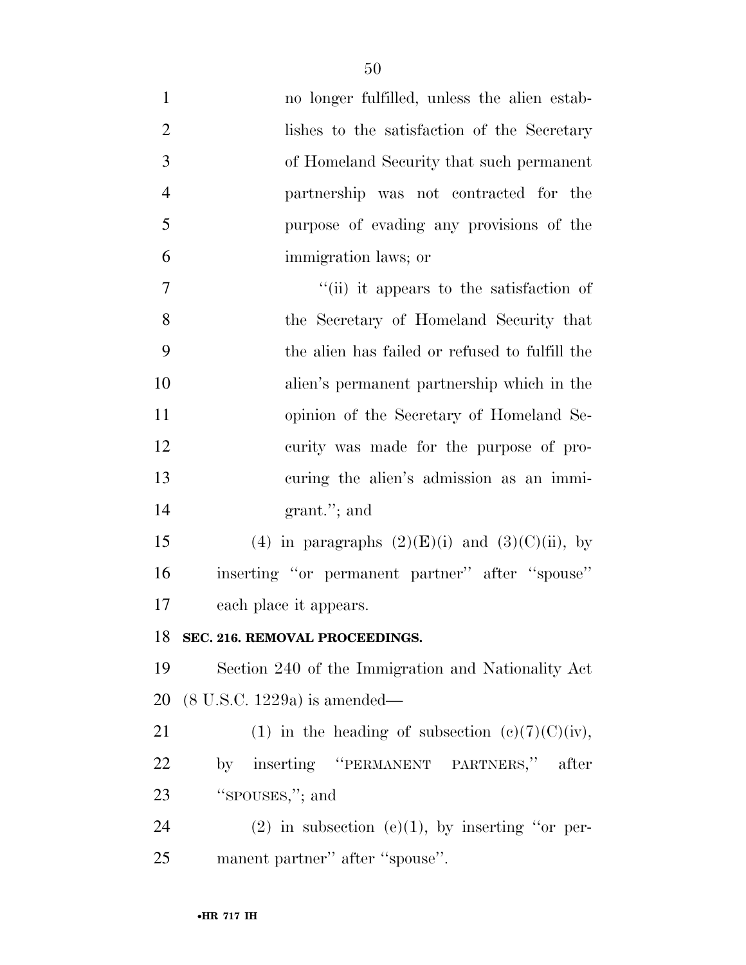| $\mathbf{1}$   | no longer fulfilled, unless the alien estab-         |
|----------------|------------------------------------------------------|
| $\overline{2}$ | lishes to the satisfaction of the Secretary          |
| 3              | of Homeland Security that such permanent             |
| $\overline{4}$ | partnership was not contracted for the               |
| 5              | purpose of evading any provisions of the             |
| 6              | immigration laws; or                                 |
| 7              | "(ii) it appears to the satisfaction of              |
| 8              | the Secretary of Homeland Security that              |
| 9              | the alien has failed or refused to fulfill the       |
| 10             | alien's permanent partnership which in the           |
| 11             | opinion of the Secretary of Homeland Se-             |
| 12             | curity was made for the purpose of pro-              |
| 13             | curing the alien's admission as an immi-             |
| 14             | grant."; and                                         |
| 15             | (4) in paragraphs $(2)(E)(i)$ and $(3)(C)(ii)$ , by  |
| 16             | inserting "or permanent partner" after "spouse"      |
| 17             | each place it appears.                               |
| 18             | SEC. 216. REMOVAL PROCEEDINGS.                       |
| 19             | Section 240 of the Immigration and Nationality Act   |
| 20             | $(8 \text{ U.S.C. } 1229a)$ is amended—              |
| 21             | (1) in the heading of subsection $(e)(7)(C)(iv)$ ,   |
| <u>22</u>      | by inserting "PERMANENT PARTNERS," after             |
| 23             | "spouses,"; and                                      |
| 24             | $(2)$ in subsection $(e)(1)$ , by inserting "or per- |
| 25             | manent partner" after "spouse".                      |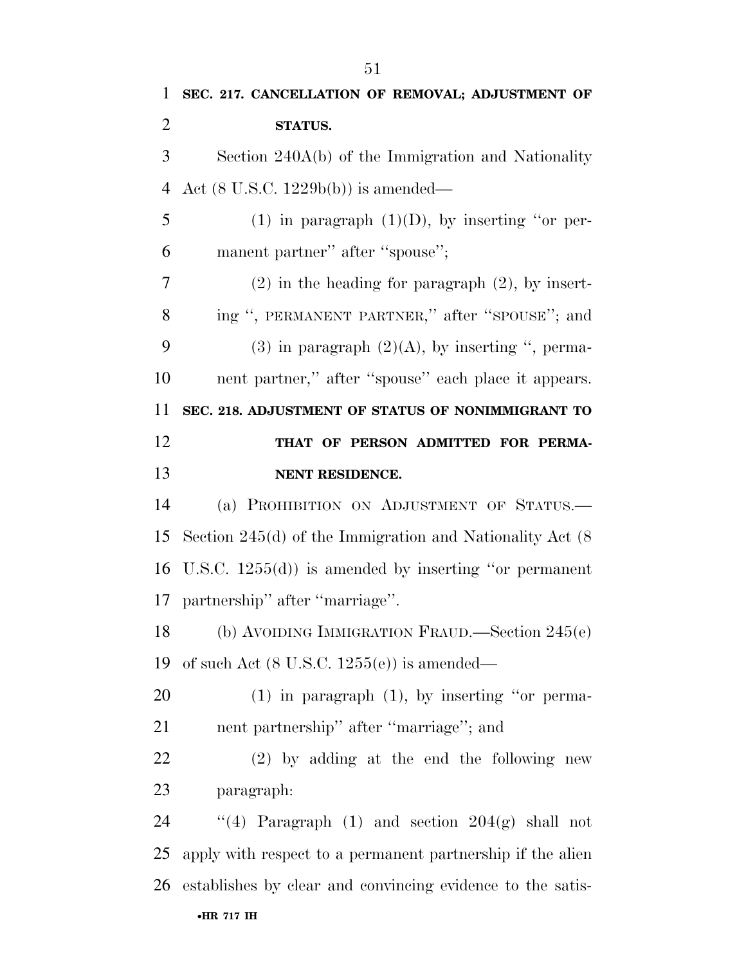| 1              | SEC. 217. CANCELLATION OF REMOVAL; ADJUSTMENT OF              |
|----------------|---------------------------------------------------------------|
| $\overline{2}$ | <b>STATUS.</b>                                                |
| 3              | Section $240A(b)$ of the Immigration and Nationality          |
| $\overline{4}$ | Act $(8 \text{ U.S.C. } 1229b(b))$ is amended—                |
| 5              | (1) in paragraph $(1)(D)$ , by inserting "or per-             |
| 6              | manent partner" after "spouse";                               |
| 7              | $(2)$ in the heading for paragraph $(2)$ , by insert-         |
| 8              | ing ", PERMANENT PARTNER," after "SPOUSE"; and                |
| 9              | $(3)$ in paragraph $(2)(A)$ , by inserting ", perma-          |
| 10             | nent partner," after "spouse" each place it appears.          |
| 11             | SEC. 218. ADJUSTMENT OF STATUS OF NONIMMIGRANT TO             |
| 12             | THAT OF PERSON ADMITTED FOR PERMA-                            |
| 13             | NENT RESIDENCE.                                               |
|                |                                                               |
|                | (a) PROHIBITION ON ADJUSTMENT OF STATUS.                      |
| 14<br>15       | Section $245(d)$ of the Immigration and Nationality Act $(8)$ |
| 16             | U.S.C. $1255(d)$ is amended by inserting "or permanent"       |
|                | 17 partnership" after "marriage".                             |
|                | (b) AVOIDING IMMIGRATION FRAUD.—Section 245(e)                |
|                | of such Act $(8 \text{ U.S.C. } 1255(e))$ is amended—         |
| 18<br>19<br>20 | $(1)$ in paragraph $(1)$ , by inserting "or perma-            |
|                | nent partnership" after "marriage"; and                       |
| 21<br>22       | $(2)$ by adding at the end the following new                  |
| 23             | paragraph:                                                    |
| 24             | "(4) Paragraph (1) and section $204(g)$ shall not             |
| 25             | apply with respect to a permanent partnership if the alien    |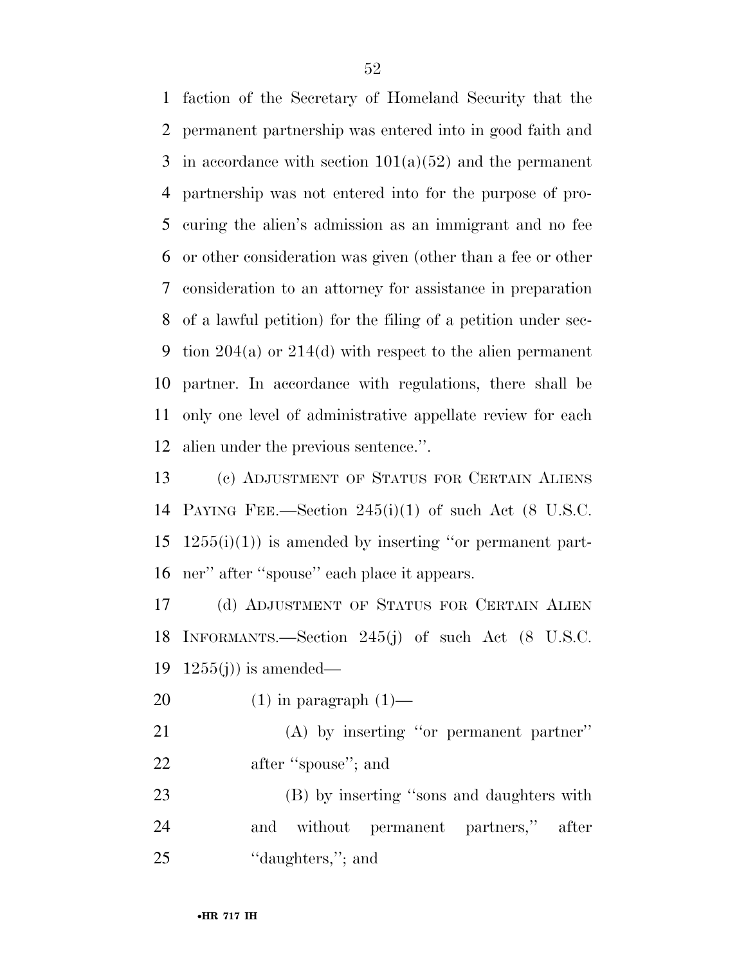faction of the Secretary of Homeland Security that the permanent partnership was entered into in good faith and 3 in accordance with section  $101(a)(52)$  and the permanent partnership was not entered into for the purpose of pro- curing the alien's admission as an immigrant and no fee or other consideration was given (other than a fee or other consideration to an attorney for assistance in preparation of a lawful petition) for the filing of a petition under sec- tion 204(a) or 214(d) with respect to the alien permanent partner. In accordance with regulations, there shall be only one level of administrative appellate review for each alien under the previous sentence.''.

 (c) ADJUSTMENT OF STATUS FOR CERTAIN ALIENS PAYING FEE.—Section 245(i)(1) of such Act (8 U.S.C.  $15 \quad 1255(i)(1)$  is amended by inserting "or permanent part-ner'' after ''spouse'' each place it appears.

 (d) ADJUSTMENT OF STATUS FOR CERTAIN ALIEN INFORMANTS.—Section 245(j) of such Act (8 U.S.C. 19  $1255(j)$  is amended—

20  $(1)$  in paragraph  $(1)$ —

 (A) by inserting ''or permanent partner'' 22 after "spouse"; and

 (B) by inserting ''sons and daughters with and without permanent partners,'' after 25 "daughters,"; and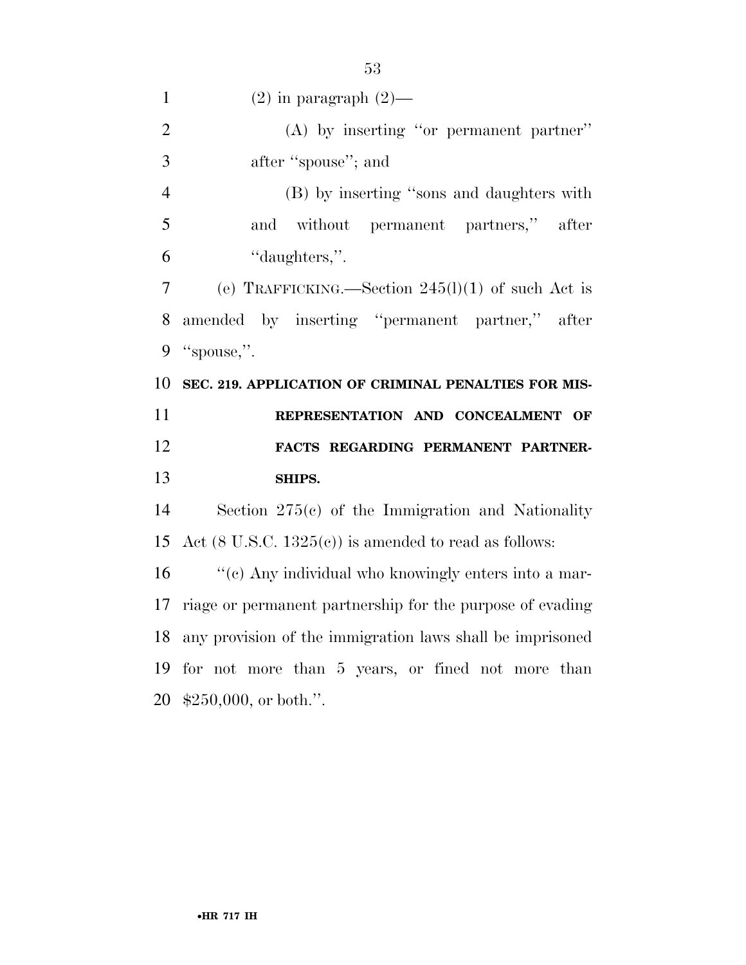| $\mathbf{1}$   | $(2)$ in paragraph $(2)$ —                                       |
|----------------|------------------------------------------------------------------|
| $\overline{2}$ | $(A)$ by inserting "or permanent partner"                        |
| 3              | after "spouse"; and                                              |
| $\overline{4}$ | (B) by inserting "sons and daughters with                        |
| 5              | without<br>permanent partners,"<br>and<br>after                  |
| 6              | "daughters,".                                                    |
| 7              | (e) TRAFFICKING.—Section $245(l)(1)$ of such Act is              |
| 8              | amended by inserting "permanent partner,"<br>after               |
| 9              | "spouse,".                                                       |
| 10             | SEC. 219. APPLICATION OF CRIMINAL PENALTIES FOR MIS-             |
| 11             | REPRESENTATION AND CONCEALMENT OF                                |
| 12             | FACTS REGARDING PERMANENT PARTNER-                               |
| 13             | SHIPS.                                                           |
| 14             | Section $275(c)$ of the Immigration and Nationality              |
| 15             | Act $(8 \text{ U.S.C. } 1325(c))$ is amended to read as follows: |
| 16             | "(c) Any individual who knowingly enters into a mar-             |
| 17             | riage or permanent partnership for the purpose of evading        |
| 18             | any provision of the immigration laws shall be imprisoned        |
|                | 19 for not more than 5 years, or fined not more than             |

\$250,000, or both.''.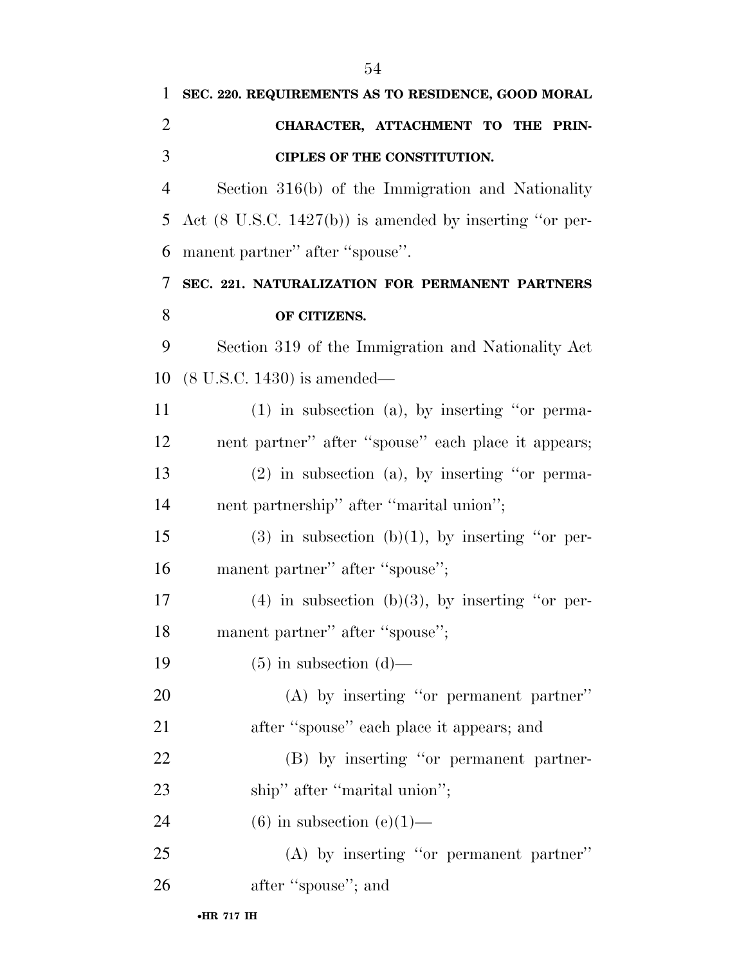| 1              | SEC. 220. REQUIREMENTS AS TO RESIDENCE, GOOD MORAL                 |
|----------------|--------------------------------------------------------------------|
| $\overline{2}$ | CHARACTER, ATTACHMENT TO THE PRIN-                                 |
| 3              | CIPLES OF THE CONSTITUTION.                                        |
| $\overline{4}$ | Section 316(b) of the Immigration and Nationality                  |
| 5              | Act $(8 \text{ U.S.C. } 1427(b))$ is amended by inserting "or per- |
| 6              | manent partner" after "spouse".                                    |
| 7              | SEC. 221. NATURALIZATION FOR PERMANENT PARTNERS                    |
| 8              | OF CITIZENS.                                                       |
| 9              | Section 319 of the Immigration and Nationality Act                 |
| 10             | $(8 \text{ U.S.C. } 1430)$ is amended—                             |
| 11             | $(1)$ in subsection $(a)$ , by inserting "or perma-                |
| 12             | nent partner" after "spouse" each place it appears;                |
| 13             | $(2)$ in subsection $(a)$ , by inserting "or perma-                |
| 14             | nent partnership" after "marital union";                           |
| 15             | $(3)$ in subsection $(b)(1)$ , by inserting "or per-               |
| 16             | manent partner" after "spouse";                                    |
| 17             | $(4)$ in subsection (b)(3), by inserting "or per-                  |
| 18             | manent partner" after "spouse";                                    |
| 19             | $(5)$ in subsection $(d)$ —                                        |
| 20             | (A) by inserting "or permanent partner"                            |
| 21             | after "spouse" each place it appears; and                          |
| 22             | (B) by inserting "or permanent partner-                            |
| 23             | ship" after "marital union";                                       |
| 24             | $(6)$ in subsection $(e)(1)$ —                                     |
| 25             | $(A)$ by inserting "or permanent partner"                          |
| 26             | after "spouse"; and                                                |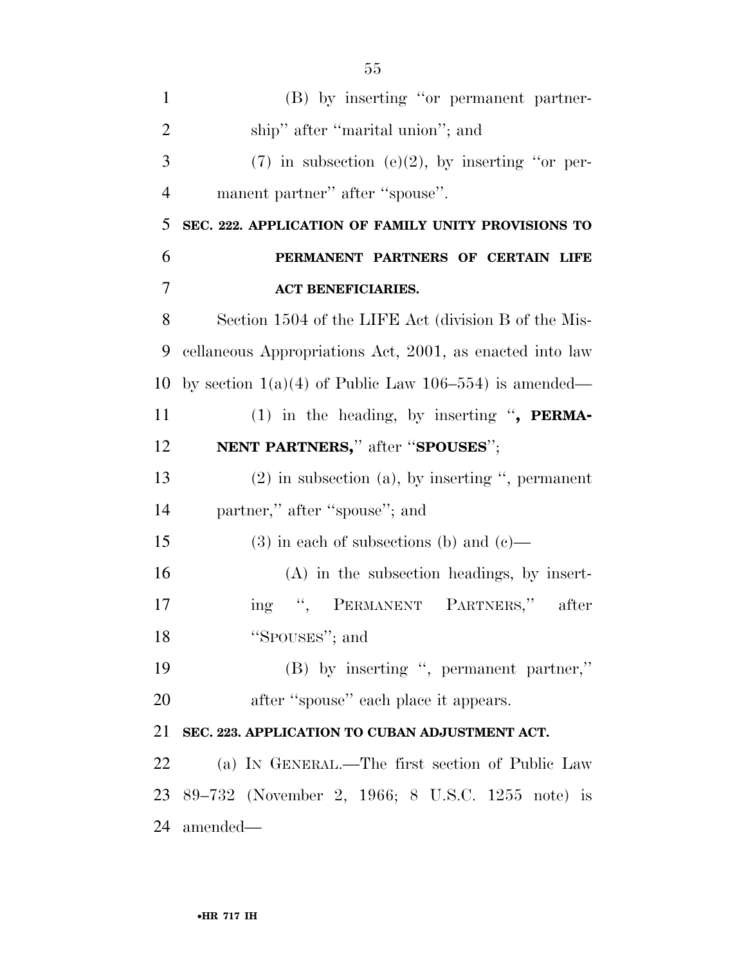| $\mathbf{1}$   | (B) by inserting "or permanent partner-                    |
|----------------|------------------------------------------------------------|
| $\overline{2}$ | ship" after "marital union"; and                           |
| 3              | $(7)$ in subsection (e)(2), by inserting "or per-          |
| $\overline{4}$ | manent partner" after "spouse".                            |
| 5              | SEC. 222. APPLICATION OF FAMILY UNITY PROVISIONS TO        |
| 6              | PERMANENT PARTNERS OF CERTAIN LIFE                         |
| 7              | <b>ACT BENEFICIARIES.</b>                                  |
| 8              | Section 1504 of the LIFE Act (division B of the Mis-       |
| 9              | cellaneous Appropriations Act, 2001, as enacted into law   |
| 10             | by section $1(a)(4)$ of Public Law $106-554$ ) is amended— |
| 11             | (1) in the heading, by inserting ", PERMA-                 |
| 12             | NENT PARTNERS," after "SPOUSES";                           |
| 13             | $(2)$ in subsection $(a)$ , by inserting ", permanent      |
| 14             | partner," after "spouse"; and                              |
| 15             | $(3)$ in each of subsections (b) and (c)—                  |
| 16             | $(A)$ in the subsection headings, by insert-               |
| 17             | ing ", PERMANENT PARTNERS," after                          |
| 18             | "SPOUSES"; and                                             |
| 19             | (B) by inserting ", permanent partner,"                    |
| 20             | after "spouse" each place it appears.                      |
| 21             | SEC. 223. APPLICATION TO CUBAN ADJUSTMENT ACT.             |
| 22             | (a) IN GENERAL.—The first section of Public Law            |
| 23             | 89–732 (November 2, 1966; 8 U.S.C. 1255 note) is           |
| 24             | amended—                                                   |